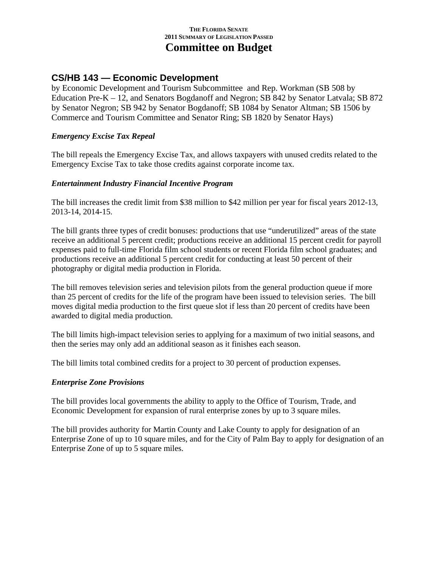### **CS/HB 143 — Economic Development**

by Economic Development and Tourism Subcommittee and Rep. Workman (SB 508 by Education Pre-K – 12, and Senators Bogdanoff and Negron; SB 842 by Senator Latvala; SB 872 by Senator Negron; SB 942 by Senator Bogdanoff; SB 1084 by Senator Altman; SB 1506 by Commerce and Tourism Committee and Senator Ring; SB 1820 by Senator Hays)

#### *Emergency Excise Tax Repeal*

The bill repeals the Emergency Excise Tax, and allows taxpayers with unused credits related to the Emergency Excise Tax to take those credits against corporate income tax.

#### *Entertainment Industry Financial Incentive Program*

The bill increases the credit limit from \$38 million to \$42 million per year for fiscal years 2012-13, 2013-14, 2014-15.

The bill grants three types of credit bonuses: productions that use "underutilized" areas of the state receive an additional 5 percent credit; productions receive an additional 15 percent credit for payroll expenses paid to full-time Florida film school students or recent Florida film school graduates; and productions receive an additional 5 percent credit for conducting at least 50 percent of their photography or digital media production in Florida.

The bill removes television series and television pilots from the general production queue if more than 25 percent of credits for the life of the program have been issued to television series. The bill moves digital media production to the first queue slot if less than 20 percent of credits have been awarded to digital media production.

The bill limits high-impact television series to applying for a maximum of two initial seasons, and then the series may only add an additional season as it finishes each season.

The bill limits total combined credits for a project to 30 percent of production expenses.

#### *Enterprise Zone Provisions*

The bill provides local governments the ability to apply to the Office of Tourism, Trade, and Economic Development for expansion of rural enterprise zones by up to 3 square miles.

The bill provides authority for Martin County and Lake County to apply for designation of an Enterprise Zone of up to 10 square miles, and for the City of Palm Bay to apply for designation of an Enterprise Zone of up to 5 square miles.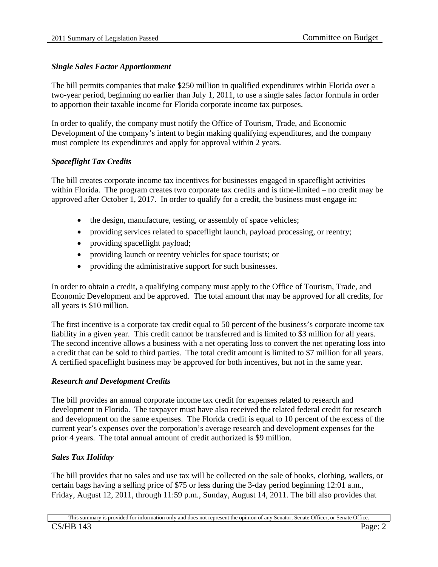### *Single Sales Factor Apportionment*

The bill permits companies that make \$250 million in qualified expenditures within Florida over a two-year period, beginning no earlier than July 1, 2011, to use a single sales factor formula in order to apportion their taxable income for Florida corporate income tax purposes.

In order to qualify, the company must notify the Office of Tourism, Trade, and Economic Development of the company's intent to begin making qualifying expenditures, and the company must complete its expenditures and apply for approval within 2 years.

### *Spaceflight Tax Credits*

The bill creates corporate income tax incentives for businesses engaged in spaceflight activities within Florida. The program creates two corporate tax credits and is time-limited – no credit may be approved after October 1, 2017. In order to qualify for a credit, the business must engage in:

- the design, manufacture, testing, or assembly of space vehicles;
- providing services related to spaceflight launch, payload processing, or reentry;
- providing spaceflight payload;
- providing launch or reentry vehicles for space tourists; or
- providing the administrative support for such businesses.

In order to obtain a credit, a qualifying company must apply to the Office of Tourism, Trade, and Economic Development and be approved. The total amount that may be approved for all credits, for all years is \$10 million.

The first incentive is a corporate tax credit equal to 50 percent of the business's corporate income tax liability in a given year. This credit cannot be transferred and is limited to \$3 million for all years. The second incentive allows a business with a net operating loss to convert the net operating loss into a credit that can be sold to third parties. The total credit amount is limited to \$7 million for all years. A certified spaceflight business may be approved for both incentives, but not in the same year.

#### *Research and Development Credits*

The bill provides an annual corporate income tax credit for expenses related to research and development in Florida. The taxpayer must have also received the related federal credit for research and development on the same expenses. The Florida credit is equal to 10 percent of the excess of the current year's expenses over the corporation's average research and development expenses for the prior 4 years. The total annual amount of credit authorized is \$9 million.

#### *Sales Tax Holiday*

The bill provides that no sales and use tax will be collected on the sale of books, clothing, wallets, or certain bags having a selling price of \$75 or less during the 3-day period beginning 12:01 a.m., Friday, August 12, 2011, through 11:59 p.m., Sunday, August 14, 2011. The bill also provides that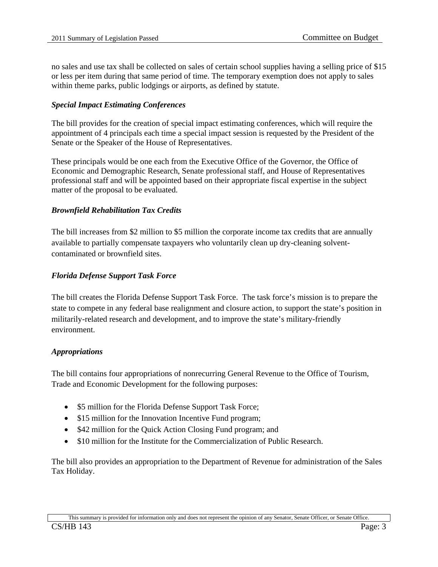no sales and use tax shall be collected on sales of certain school supplies having a selling price of \$15 or less per item during that same period of time. The temporary exemption does not apply to sales within theme parks, public lodgings or airports, as defined by statute.

#### *Special Impact Estimating Conferences*

The bill provides for the creation of special impact estimating conferences, which will require the appointment of 4 principals each time a special impact session is requested by the President of the Senate or the Speaker of the House of Representatives.

These principals would be one each from the Executive Office of the Governor, the Office of Economic and Demographic Research, Senate professional staff, and House of Representatives professional staff and will be appointed based on their appropriate fiscal expertise in the subject matter of the proposal to be evaluated.

#### *Brownfield Rehabilitation Tax Credits*

The bill increases from \$2 million to \$5 million the corporate income tax credits that are annually available to partially compensate taxpayers who voluntarily clean up dry-cleaning solventcontaminated or brownfield sites.

#### *Florida Defense Support Task Force*

The bill creates the Florida Defense Support Task Force. The task force's mission is to prepare the state to compete in any federal base realignment and closure action, to support the state's position in militarily-related research and development, and to improve the state's military-friendly environment.

#### *Appropriations*

The bill contains four appropriations of nonrecurring General Revenue to the Office of Tourism, Trade and Economic Development for the following purposes:

- \$5 million for the Florida Defense Support Task Force;
- \$15 million for the Innovation Incentive Fund program;
- \$42 million for the Quick Action Closing Fund program; and
- \$10 million for the Institute for the Commercialization of Public Research.

The bill also provides an appropriation to the Department of Revenue for administration of the Sales Tax Holiday.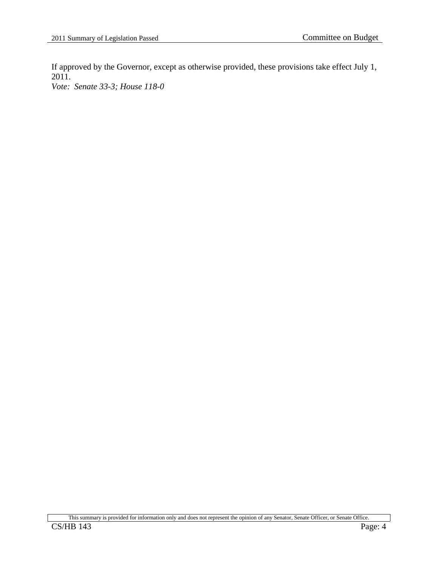If approved by the Governor, except as otherwise provided, these provisions take effect July 1, 2011.

*Vote: Senate 33-3; House 118-0* 

This summary is provided for information only and does not represent the opinion of any Senator, Senate Officer, or Senate Office.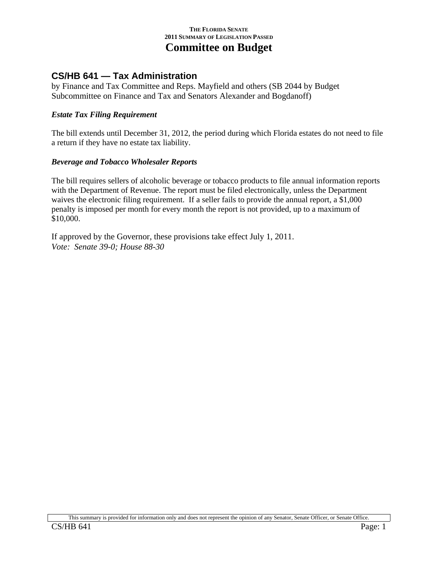## **CS/HB 641 — Tax Administration**

by Finance and Tax Committee and Reps. Mayfield and others (SB 2044 by Budget Subcommittee on Finance and Tax and Senators Alexander and Bogdanoff)

#### *Estate Tax Filing Requirement*

The bill extends until December 31, 2012, the period during which Florida estates do not need to file a return if they have no estate tax liability.

#### *Beverage and Tobacco Wholesaler Reports*

The bill requires sellers of alcoholic beverage or tobacco products to file annual information reports with the Department of Revenue. The report must be filed electronically, unless the Department waives the electronic filing requirement. If a seller fails to provide the annual report, a \$1,000 penalty is imposed per month for every month the report is not provided, up to a maximum of \$10,000.

If approved by the Governor, these provisions take effect July 1, 2011. *Vote: Senate 39-0; House 88-30*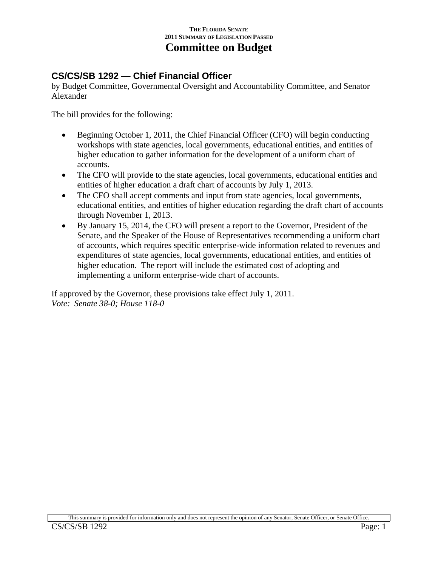# **CS/CS/SB 1292 — Chief Financial Officer**

by Budget Committee, Governmental Oversight and Accountability Committee, and Senator Alexander

The bill provides for the following:

- Beginning October 1, 2011, the Chief Financial Officer (CFO) will begin conducting workshops with state agencies, local governments, educational entities, and entities of higher education to gather information for the development of a uniform chart of accounts.
- The CFO will provide to the state agencies, local governments, educational entities and entities of higher education a draft chart of accounts by July 1, 2013.
- The CFO shall accept comments and input from state agencies, local governments, educational entities, and entities of higher education regarding the draft chart of accounts through November 1, 2013.
- By January 15, 2014, the CFO will present a report to the Governor, President of the Senate, and the Speaker of the House of Representatives recommending a uniform chart of accounts, which requires specific enterprise-wide information related to revenues and expenditures of state agencies, local governments, educational entities, and entities of higher education. The report will include the estimated cost of adopting and implementing a uniform enterprise-wide chart of accounts.

If approved by the Governor, these provisions take effect July 1, 2011. *Vote: Senate 38-0; House 118-0*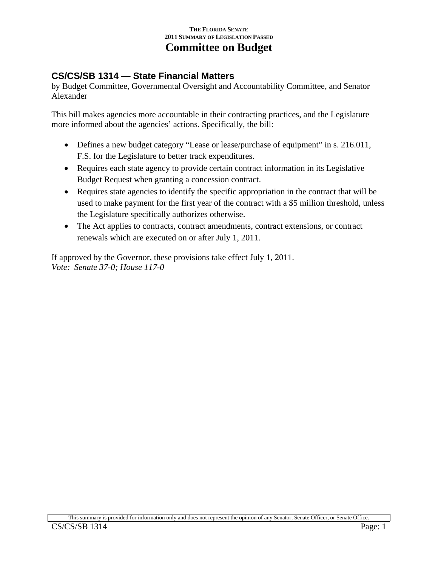# **CS/CS/SB 1314 — State Financial Matters**

by Budget Committee, Governmental Oversight and Accountability Committee, and Senator Alexander

This bill makes agencies more accountable in their contracting practices, and the Legislature more informed about the agencies' actions. Specifically, the bill:

- Defines a new budget category "Lease or lease/purchase of equipment" in s. 216.011, F.S. for the Legislature to better track expenditures.
- Requires each state agency to provide certain contract information in its Legislative Budget Request when granting a concession contract.
- Requires state agencies to identify the specific appropriation in the contract that will be used to make payment for the first year of the contract with a \$5 million threshold, unless the Legislature specifically authorizes otherwise.
- The Act applies to contracts, contract amendments, contract extensions, or contract renewals which are executed on or after July 1, 2011.

If approved by the Governor, these provisions take effect July 1, 2011. *Vote: Senate 37-0; House 117-0*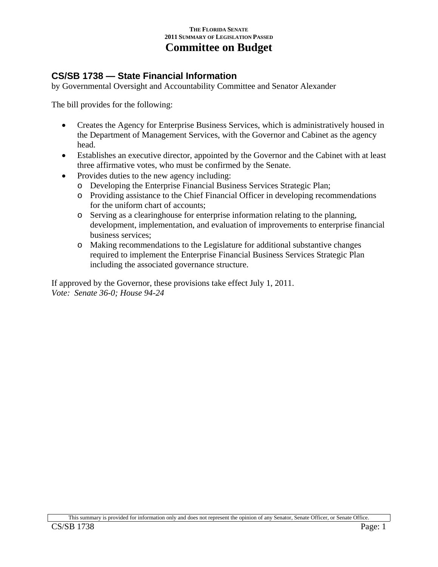### **CS/SB 1738 — State Financial Information**

by Governmental Oversight and Accountability Committee and Senator Alexander

The bill provides for the following:

- Creates the Agency for Enterprise Business Services, which is administratively housed in the Department of Management Services, with the Governor and Cabinet as the agency head.
- Establishes an executive director, appointed by the Governor and the Cabinet with at least three affirmative votes, who must be confirmed by the Senate.
- Provides duties to the new agency including:
	- o Developing the Enterprise Financial Business Services Strategic Plan;
	- o Providing assistance to the Chief Financial Officer in developing recommendations for the uniform chart of accounts;
	- o Serving as a clearinghouse for enterprise information relating to the planning, development, implementation, and evaluation of improvements to enterprise financial business services;
	- o Making recommendations to the Legislature for additional substantive changes required to implement the Enterprise Financial Business Services Strategic Plan including the associated governance structure.

If approved by the Governor, these provisions take effect July 1, 2011. *Vote: Senate 36-0; House 94-24*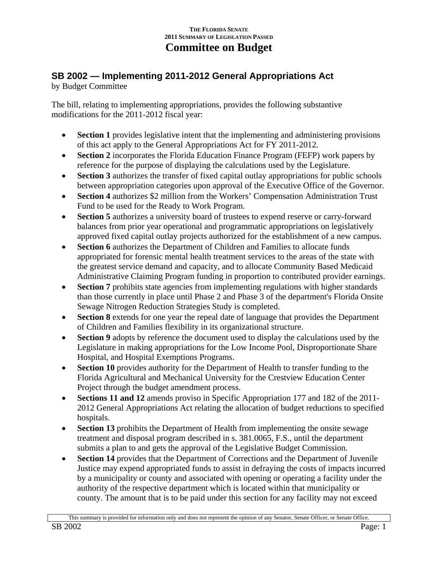# **SB 2002 — Implementing 2011-2012 General Appropriations Act**

by Budget Committee

The bill, relating to implementing appropriations, provides the following substantive modifications for the 2011-2012 fiscal year:

- **Section 1** provides legislative intent that the implementing and administering provisions of this act apply to the General Appropriations Act for FY 2011-2012.
- **Section 2** incorporates the Florida Education Finance Program (FEFP) work papers by reference for the purpose of displaying the calculations used by the Legislature.
- **Section 3** authorizes the transfer of fixed capital outlay appropriations for public schools between appropriation categories upon approval of the Executive Office of the Governor.
- **Section 4** authorizes \$2 million from the Workers' Compensation Administration Trust Fund to be used for the Ready to Work Program.
- **Section 5** authorizes a university board of trustees to expend reserve or carry-forward balances from prior year operational and programmatic appropriations on legislatively approved fixed capital outlay projects authorized for the establishment of a new campus.
- **Section 6** authorizes the Department of Children and Families to allocate funds appropriated for forensic mental health treatment services to the areas of the state with the greatest service demand and capacity, and to allocate Community Based Medicaid Administrative Claiming Program funding in proportion to contributed provider earnings.
- **Section 7** prohibits state agencies from implementing regulations with higher standards than those currently in place until Phase 2 and Phase 3 of the department's Florida Onsite Sewage Nitrogen Reduction Strategies Study is completed.
- **Section 8** extends for one year the repeal date of language that provides the Department of Children and Families flexibility in its organizational structure.
- **Section 9** adopts by reference the document used to display the calculations used by the Legislature in making appropriations for the Low Income Pool, Disproportionate Share Hospital, and Hospital Exemptions Programs.
- **Section 10** provides authority for the Department of Health to transfer funding to the Florida Agricultural and Mechanical University for the Crestview Education Center Project through the budget amendment process.
- **Sections 11 and 12** amends proviso in Specific Appropriation 177 and 182 of the 2011- 2012 General Appropriations Act relating the allocation of budget reductions to specified hospitals.
- **Section 13** prohibits the Department of Health from implementing the onsite sewage treatment and disposal program described in s. 381.0065, F.S., until the department submits a plan to and gets the approval of the Legislative Budget Commission.
- **Section 14** provides that the Department of Corrections and the Department of Juvenile Justice may expend appropriated funds to assist in defraying the costs of impacts incurred by a municipality or county and associated with opening or operating a facility under the authority of the respective department which is located within that municipality or county. The amount that is to be paid under this section for any facility may not exceed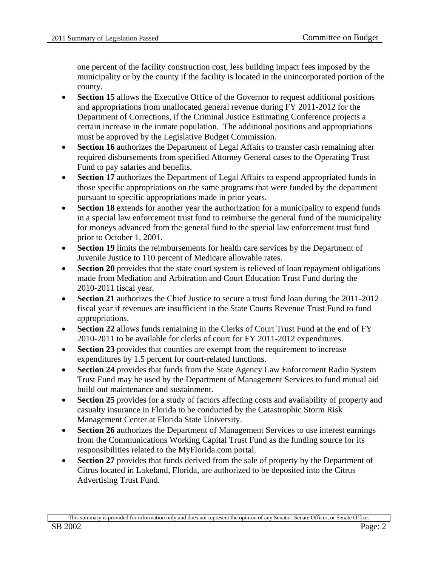one percent of the facility construction cost, less building impact fees imposed by the municipality or by the county if the facility is located in the unincorporated portion of the county.

- **Section 15** allows the Executive Office of the Governor to request additional positions and appropriations from unallocated general revenue during FY 2011-2012 for the Department of Corrections, if the Criminal Justice Estimating Conference projects a certain increase in the inmate population. The additional positions and appropriations must be approved by the Legislative Budget Commission.
- **Section 16** authorizes the Department of Legal Affairs to transfer cash remaining after required disbursements from specified Attorney General cases to the Operating Trust Fund to pay salaries and benefits.
- **Section 17** authorizes the Department of Legal Affairs to expend appropriated funds in those specific appropriations on the same programs that were funded by the department pursuant to specific appropriations made in prior years.
- **Section 18** extends for another year the authorization for a municipality to expend funds in a special law enforcement trust fund to reimburse the general fund of the municipality for moneys advanced from the general fund to the special law enforcement trust fund prior to October 1, 2001.
- **Section 19** limits the reimbursements for health care services by the Department of Juvenile Justice to 110 percent of Medicare allowable rates.
- **Section 20** provides that the state court system is relieved of loan repayment obligations made from Mediation and Arbitration and Court Education Trust Fund during the 2010-2011 fiscal year.
- **Section 21** authorizes the Chief Justice to secure a trust fund loan during the 2011-2012 fiscal year if revenues are insufficient in the State Courts Revenue Trust Fund to fund appropriations.
- **Section 22** allows funds remaining in the Clerks of Court Trust Fund at the end of FY 2010-2011 to be available for clerks of court for FY 2011-2012 expenditures.
- **Section 23** provides that counties are exempt from the requirement to increase expenditures by 1.5 percent for court-related functions.
- **Section 24** provides that funds from the State Agency Law Enforcement Radio System Trust Fund may be used by the Department of Management Services to fund mutual aid build out maintenance and sustainment.
- **Section 25** provides for a study of factors affecting costs and availability of property and casualty insurance in Florida to be conducted by the Catastrophic Storm Risk Management Center at Florida State University.
- **Section 26** authorizes the Department of Management Services to use interest earnings from the Communications Working Capital Trust Fund as the funding source for its responsibilities related to the MyFlorida.com portal.
- **Section 27** provides that funds derived from the sale of property by the Department of Citrus located in Lakeland, Florida, are authorized to be deposited into the Citrus Advertising Trust Fund.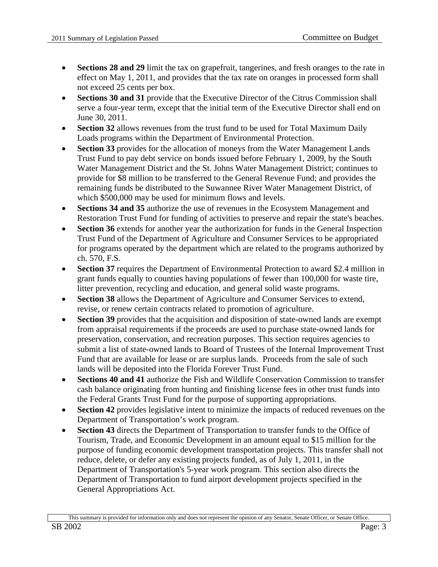- **Sections 28 and 29** limit the tax on grapefruit, tangerines, and fresh oranges to the rate in effect on May 1, 2011, and provides that the tax rate on oranges in processed form shall not exceed 25 cents per box.
- **Sections 30 and 31** provide that the Executive Director of the Citrus Commission shall serve a four-year term, except that the initial term of the Executive Director shall end on June 30, 2011.
- **Section 32** allows revenues from the trust fund to be used for Total Maximum Daily Loads programs within the Department of Environmental Protection.
- **Section 33** provides for the allocation of moneys from the Water Management Lands Trust Fund to pay debt service on bonds issued before February 1, 2009, by the South Water Management District and the St. Johns Water Management District; continues to provide for \$8 million to be transferred to the General Revenue Fund; and provides the remaining funds be distributed to the Suwannee River Water Management District, of which \$500,000 may be used for minimum flows and levels.
- **Sections 34 and 35** authorize the use of revenues in the Ecosystem Management and Restoration Trust Fund for funding of activities to preserve and repair the state's beaches.
- **Section 36** extends for another year the authorization for funds in the General Inspection Trust Fund of the Department of Agriculture and Consumer Services to be appropriated for programs operated by the department which are related to the programs authorized by ch. 570, F.S.
- **Section 37** requires the Department of Environmental Protection to award \$2.4 million in grant funds equally to counties having populations of fewer than 100,000 for waste tire, litter prevention, recycling and education, and general solid waste programs.
- **Section 38** allows the Department of Agriculture and Consumer Services to extend, revise, or renew certain contracts related to promotion of agriculture.
- **Section 39** provides that the acquisition and disposition of state-owned lands are exempt from appraisal requirements if the proceeds are used to purchase state-owned lands for preservation, conservation, and recreation purposes. This section requires agencies to submit a list of state-owned lands to Board of Trustees of the Internal Improvement Trust Fund that are available for lease or are surplus lands. Proceeds from the sale of such lands will be deposited into the Florida Forever Trust Fund.
- **Sections 40 and 41** authorize the Fish and Wildlife Conservation Commission to transfer cash balance originating from hunting and finishing license fees in other trust funds into the Federal Grants Trust Fund for the purpose of supporting appropriations.
- **Section 42** provides legislative intent to minimize the impacts of reduced revenues on the Department of Transportation's work program.
- **Section 43** directs the Department of Transportation to transfer funds to the Office of Tourism, Trade, and Economic Development in an amount equal to \$15 million for the purpose of funding economic development transportation projects. This transfer shall not reduce, delete, or defer any existing projects funded, as of July 1, 2011, in the Department of Transportation's 5-year work program. This section also directs the Department of Transportation to fund airport development projects specified in the General Appropriations Act.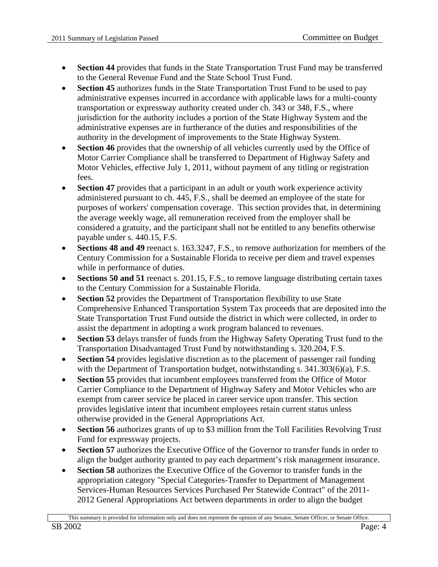- **Section 44** provides that funds in the State Transportation Trust Fund may be transferred to the General Revenue Fund and the State School Trust Fund.
- **Section 45** authorizes funds in the State Transportation Trust Fund to be used to pay administrative expenses incurred in accordance with applicable laws for a multi-county transportation or expressway authority created under ch. 343 or 348, F.S., where jurisdiction for the authority includes a portion of the State Highway System and the administrative expenses are in furtherance of the duties and responsibilities of the authority in the development of improvements to the State Highway System.
- **Section 46** provides that the ownership of all vehicles currently used by the Office of Motor Carrier Compliance shall be transferred to Department of Highway Safety and Motor Vehicles, effective July 1, 2011, without payment of any titling or registration fees.
- **Section 47** provides that a participant in an adult or youth work experience activity administered pursuant to ch. 445, F.S., shall be deemed an employee of the state for purposes of workers' compensation coverage. This section provides that, in determining the average weekly wage, all remuneration received from the employer shall be considered a gratuity, and the participant shall not be entitled to any benefits otherwise payable under s. 440.15, F.S.
- **Sections 48 and 49** reenact s. 163.3247, F.S., to remove authorization for members of the Century Commission for a Sustainable Florida to receive per diem and travel expenses while in performance of duties.
- **Sections 50 and 51** reenact s. 201.15, F.S., to remove language distributing certain taxes to the Century Commission for a Sustainable Florida.
- **Section 52** provides the Department of Transportation flexibility to use State Comprehensive Enhanced Transportation System Tax proceeds that are deposited into the State Transportation Trust Fund outside the district in which were collected, in order to assist the department in adopting a work program balanced to revenues.
- **Section 53** delays transfer of funds from the Highway Safety Operating Trust fund to the Transportation Disadvantaged Trust Fund by notwithstanding s. 320.204, F.S.
- **Section 54** provides legislative discretion as to the placement of passenger rail funding with the Department of Transportation budget, notwithstanding s.  $341.303(6)(a)$ , F.S.
- **Section 55** provides that incumbent employees transferred from the Office of Motor Carrier Compliance to the Department of Highway Safety and Motor Vehicles who are exempt from career service be placed in career service upon transfer. This section provides legislative intent that incumbent employees retain current status unless otherwise provided in the General Appropriations Act.
- **Section 56** authorizes grants of up to \$3 million from the Toll Facilities Revolving Trust Fund for expressway projects.
- **Section 57** authorizes the Executive Office of the Governor to transfer funds in order to align the budget authority granted to pay each department's risk management insurance.
- **Section 58** authorizes the Executive Office of the Governor to transfer funds in the appropriation category "Special Categories-Transfer to Department of Management Services-Human Resources Services Purchased Per Statewide Contract" of the 2011- 2012 General Appropriations Act between departments in order to align the budget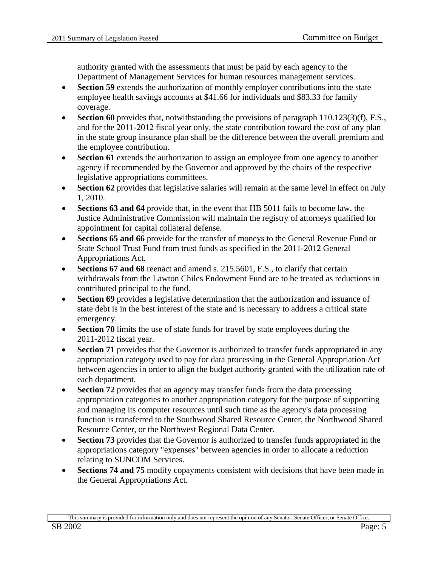authority granted with the assessments that must be paid by each agency to the Department of Management Services for human resources management services.

- **Section 59** extends the authorization of monthly employer contributions into the state employee health savings accounts at \$41.66 for individuals and \$83.33 for family coverage.
- **Section 60** provides that, notwithstanding the provisions of paragraph 110.123(3)(f), F.S., and for the 2011-2012 fiscal year only, the state contribution toward the cost of any plan in the state group insurance plan shall be the difference between the overall premium and the employee contribution.
- **Section 61** extends the authorization to assign an employee from one agency to another agency if recommended by the Governor and approved by the chairs of the respective legislative appropriations committees.
- **Section 62** provides that legislative salaries will remain at the same level in effect on July 1, 2010.
- **Sections 63 and 64** provide that, in the event that HB 5011 fails to become law, the Justice Administrative Commission will maintain the registry of attorneys qualified for appointment for capital collateral defense.
- **Sections 65 and 66** provide for the transfer of moneys to the General Revenue Fund or State School Trust Fund from trust funds as specified in the 2011-2012 General Appropriations Act.
- **Sections 67 and 68** reenact and amend s. 215.5601, F.S., to clarify that certain withdrawals from the Lawton Chiles Endowment Fund are to be treated as reductions in contributed principal to the fund.
- **Section 69** provides a legislative determination that the authorization and issuance of state debt is in the best interest of the state and is necessary to address a critical state emergency.
- **Section 70** limits the use of state funds for travel by state employees during the 2011-2012 fiscal year.
- **Section 71** provides that the Governor is authorized to transfer funds appropriated in any appropriation category used to pay for data processing in the General Appropriation Act between agencies in order to align the budget authority granted with the utilization rate of each department.
- **Section 72** provides that an agency may transfer funds from the data processing appropriation categories to another appropriation category for the purpose of supporting and managing its computer resources until such time as the agency's data processing function is transferred to the Southwood Shared Resource Center, the Northwood Shared Resource Center, or the Northwest Regional Data Center.
- **Section 73** provides that the Governor is authorized to transfer funds appropriated in the appropriations category "expenses" between agencies in order to allocate a reduction relating to SUNCOM Services.
- **Sections 74 and 75** modify copayments consistent with decisions that have been made in the General Appropriations Act.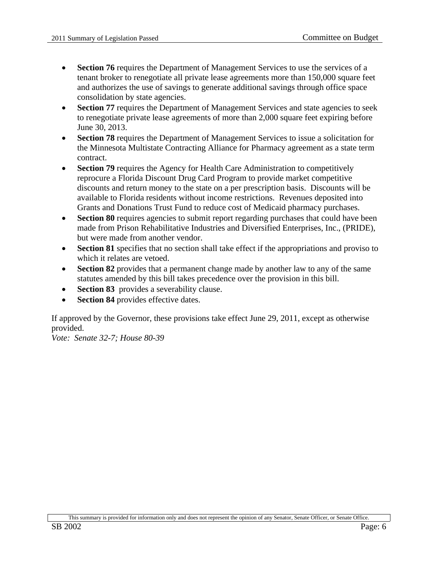- **Section 76** requires the Department of Management Services to use the services of a tenant broker to renegotiate all private lease agreements more than 150,000 square feet and authorizes the use of savings to generate additional savings through office space consolidation by state agencies.
- **Section 77 requires the Department of Management Services and state agencies to seek** to renegotiate private lease agreements of more than 2,000 square feet expiring before June 30, 2013.
- **Section 78** requires the Department of Management Services to issue a solicitation for the Minnesota Multistate Contracting Alliance for Pharmacy agreement as a state term contract.
- **Section 79** requires the Agency for Health Care Administration to competitively reprocure a Florida Discount Drug Card Program to provide market competitive discounts and return money to the state on a per prescription basis. Discounts will be available to Florida residents without income restrictions. Revenues deposited into Grants and Donations Trust Fund to reduce cost of Medicaid pharmacy purchases.
- **Section 80** requires agencies to submit report regarding purchases that could have been made from Prison Rehabilitative Industries and Diversified Enterprises, Inc., (PRIDE), but were made from another vendor.
- **Section 81** specifies that no section shall take effect if the appropriations and proviso to which it relates are vetoed.
- **Section 82** provides that a permanent change made by another law to any of the same statutes amended by this bill takes precedence over the provision in this bill.
- **Section 83** provides a severability clause.
- **Section 84** provides effective dates.

If approved by the Governor, these provisions take effect June 29, 2011, except as otherwise provided.

*Vote: Senate 32-7; House 80-39*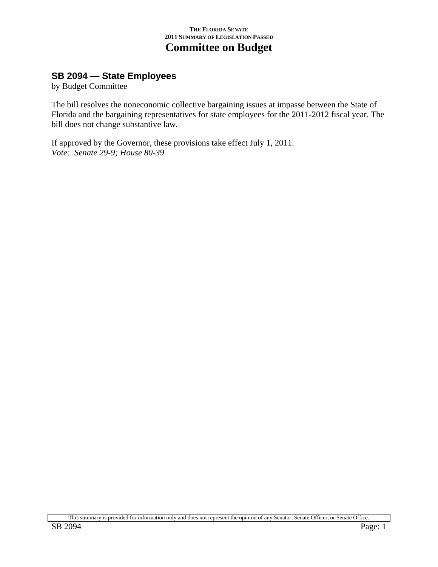## **SB 2094 — State Employees**

by Budget Committee

The bill resolves the noneconomic collective bargaining issues at impasse between the State of Florida and the bargaining representatives for state employees for the 2011-2012 fiscal year. The bill does not change substantive law.

If approved by the Governor, these provisions take effect July 1, 2011. *Vote: Senate 29-9; House 80-39*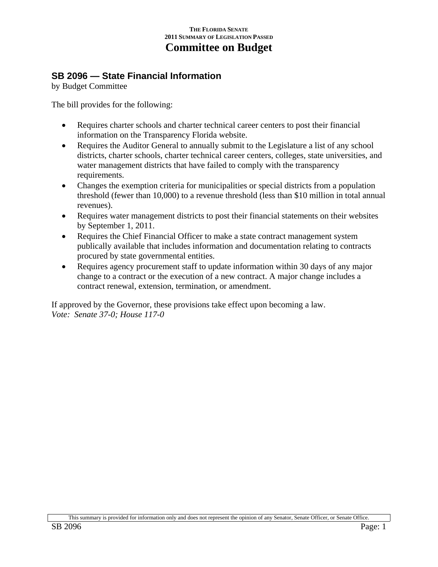### **SB 2096 — State Financial Information**

by Budget Committee

The bill provides for the following:

- Requires charter schools and charter technical career centers to post their financial information on the Transparency Florida website.
- Requires the Auditor General to annually submit to the Legislature a list of any school districts, charter schools, charter technical career centers, colleges, state universities, and water management districts that have failed to comply with the transparency requirements.
- Changes the exemption criteria for municipalities or special districts from a population threshold (fewer than 10,000) to a revenue threshold (less than \$10 million in total annual revenues).
- Requires water management districts to post their financial statements on their websites by September 1, 2011.
- Requires the Chief Financial Officer to make a state contract management system publically available that includes information and documentation relating to contracts procured by state governmental entities.
- Requires agency procurement staff to update information within 30 days of any major change to a contract or the execution of a new contract. A major change includes a contract renewal, extension, termination, or amendment.

If approved by the Governor, these provisions take effect upon becoming a law. *Vote: Senate 37-0; House 117-0*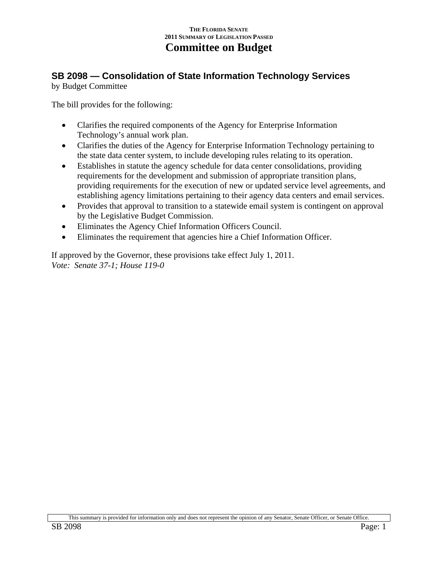### **SB 2098 — Consolidation of State Information Technology Services**  by Budget Committee

The bill provides for the following:

- Clarifies the required components of the Agency for Enterprise Information Technology's annual work plan.
- Clarifies the duties of the Agency for Enterprise Information Technology pertaining to the state data center system, to include developing rules relating to its operation.
- Establishes in statute the agency schedule for data center consolidations, providing requirements for the development and submission of appropriate transition plans, providing requirements for the execution of new or updated service level agreements, and establishing agency limitations pertaining to their agency data centers and email services.
- Provides that approval to transition to a statewide email system is contingent on approval by the Legislative Budget Commission.
- Eliminates the Agency Chief Information Officers Council.
- Eliminates the requirement that agencies hire a Chief Information Officer.

If approved by the Governor, these provisions take effect July 1, 2011. *Vote: Senate 37-1; House 119-0*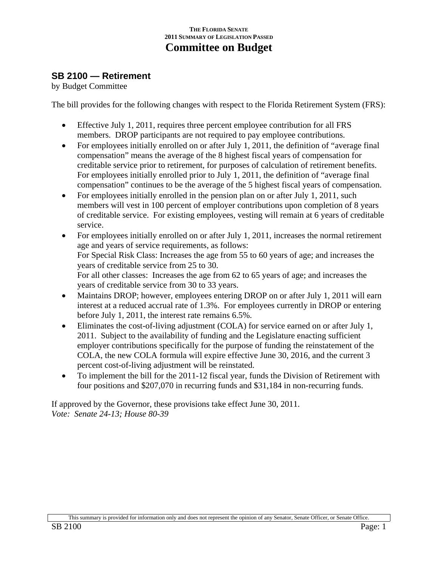### **SB 2100 — Retirement**

by Budget Committee

The bill provides for the following changes with respect to the Florida Retirement System (FRS):

- Effective July 1, 2011, requires three percent employee contribution for all FRS members. DROP participants are not required to pay employee contributions.
- For employees initially enrolled on or after July 1, 2011, the definition of "average final compensation" means the average of the 8 highest fiscal years of compensation for creditable service prior to retirement, for purposes of calculation of retirement benefits. For employees initially enrolled prior to July 1, 2011, the definition of "average final compensation" continues to be the average of the 5 highest fiscal years of compensation.
- For employees initially enrolled in the pension plan on or after July 1, 2011, such members will vest in 100 percent of employer contributions upon completion of 8 years of creditable service. For existing employees, vesting will remain at 6 years of creditable service.
- For employees initially enrolled on or after July 1, 2011, increases the normal retirement age and years of service requirements, as follows: For Special Risk Class: Increases the age from 55 to 60 years of age; and increases the years of creditable service from 25 to 30. For all other classes: Increases the age from 62 to 65 years of age; and increases the years of creditable service from 30 to 33 years.
- Maintains DROP; however, employees entering DROP on or after July 1, 2011 will earn interest at a reduced accrual rate of 1.3%. For employees currently in DROP or entering before July 1, 2011, the interest rate remains 6.5%.
- Eliminates the cost-of-living adjustment (COLA) for service earned on or after July 1, 2011. Subject to the availability of funding and the Legislature enacting sufficient employer contributions specifically for the purpose of funding the reinstatement of the COLA, the new COLA formula will expire effective June 30, 2016, and the current 3 percent cost-of-living adjustment will be reinstated.
- To implement the bill for the 2011-12 fiscal year, funds the Division of Retirement with four positions and \$207,070 in recurring funds and \$31,184 in non-recurring funds.

If approved by the Governor, these provisions take effect June 30, 2011. *Vote: Senate 24-13; House 80-39*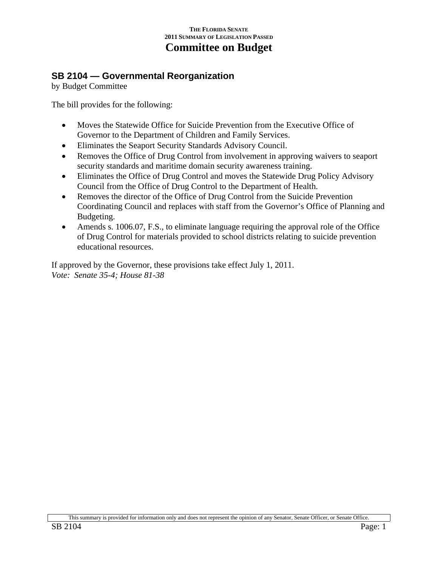### **SB 2104 — Governmental Reorganization**

by Budget Committee

The bill provides for the following:

- Moves the Statewide Office for Suicide Prevention from the Executive Office of Governor to the Department of Children and Family Services.
- Eliminates the Seaport Security Standards Advisory Council.
- Removes the Office of Drug Control from involvement in approving waivers to seaport security standards and maritime domain security awareness training.
- Eliminates the Office of Drug Control and moves the Statewide Drug Policy Advisory Council from the Office of Drug Control to the Department of Health.
- Removes the director of the Office of Drug Control from the Suicide Prevention Coordinating Council and replaces with staff from the Governor's Office of Planning and Budgeting.
- Amends s. 1006.07, F.S., to eliminate language requiring the approval role of the Office of Drug Control for materials provided to school districts relating to suicide prevention educational resources.

If approved by the Governor, these provisions take effect July 1, 2011. *Vote: Senate 35-4; House 81-38*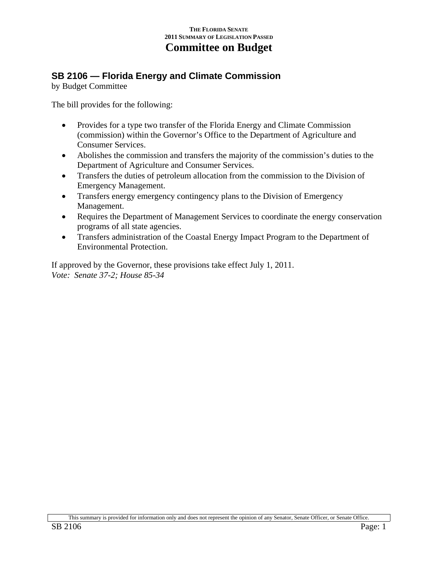# **SB 2106 — Florida Energy and Climate Commission**

by Budget Committee

The bill provides for the following:

- Provides for a type two transfer of the Florida Energy and Climate Commission (commission) within the Governor's Office to the Department of Agriculture and Consumer Services.
- Abolishes the commission and transfers the majority of the commission's duties to the Department of Agriculture and Consumer Services.
- Transfers the duties of petroleum allocation from the commission to the Division of Emergency Management.
- Transfers energy emergency contingency plans to the Division of Emergency Management.
- Requires the Department of Management Services to coordinate the energy conservation programs of all state agencies.
- Transfers administration of the Coastal Energy Impact Program to the Department of Environmental Protection.

If approved by the Governor, these provisions take effect July 1, 2011. *Vote: Senate 37-2; House 85-34*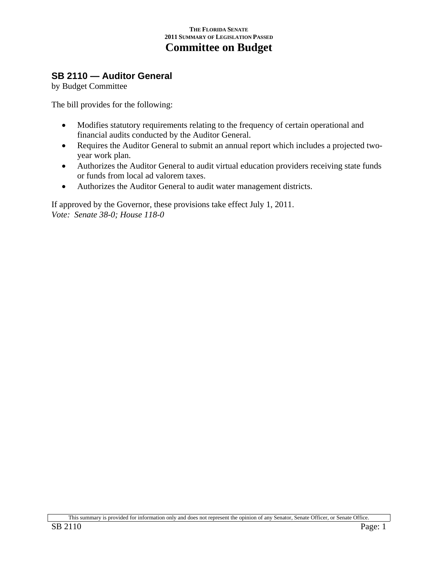### **SB 2110 — Auditor General**

by Budget Committee

The bill provides for the following:

- Modifies statutory requirements relating to the frequency of certain operational and financial audits conducted by the Auditor General.
- Requires the Auditor General to submit an annual report which includes a projected twoyear work plan.
- Authorizes the Auditor General to audit virtual education providers receiving state funds or funds from local ad valorem taxes.
- Authorizes the Auditor General to audit water management districts.

If approved by the Governor, these provisions take effect July 1, 2011. *Vote: Senate 38-0; House 118-0*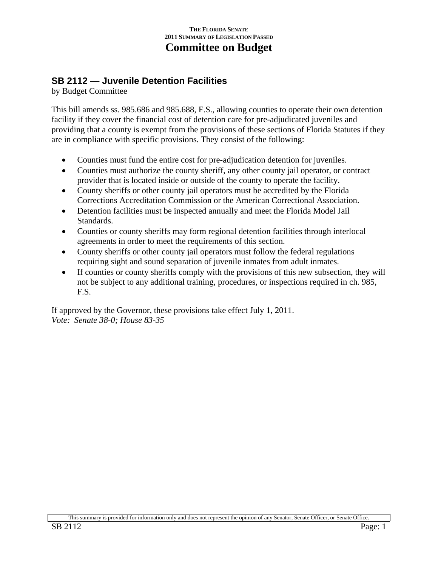### **SB 2112 — Juvenile Detention Facilities**

by Budget Committee

This bill amends ss. 985.686 and 985.688, F.S., allowing counties to operate their own detention facility if they cover the financial cost of detention care for pre-adjudicated juveniles and providing that a county is exempt from the provisions of these sections of Florida Statutes if they are in compliance with specific provisions. They consist of the following:

- Counties must fund the entire cost for pre-adjudication detention for juveniles.
- Counties must authorize the county sheriff, any other county jail operator, or contract provider that is located inside or outside of the county to operate the facility.
- County sheriffs or other county jail operators must be accredited by the Florida Corrections Accreditation Commission or the American Correctional Association.
- Detention facilities must be inspected annually and meet the Florida Model Jail Standards.
- Counties or county sheriffs may form regional detention facilities through interlocal agreements in order to meet the requirements of this section.
- County sheriffs or other county jail operators must follow the federal regulations requiring sight and sound separation of juvenile inmates from adult inmates.
- If counties or county sheriffs comply with the provisions of this new subsection, they will not be subject to any additional training, procedures, or inspections required in ch. 985, F.S.

If approved by the Governor, these provisions take effect July 1, 2011. *Vote: Senate 38-0; House 83-35*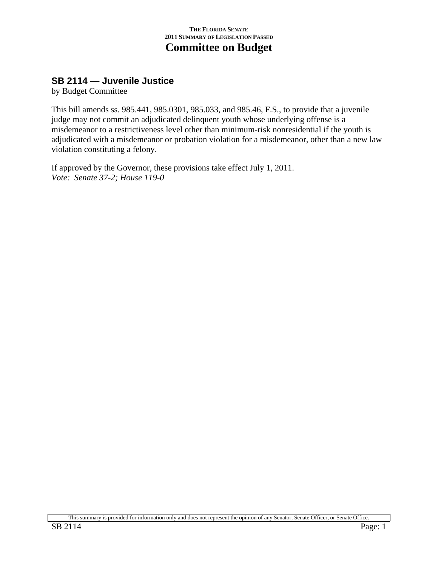### **SB 2114 — Juvenile Justice**

by Budget Committee

This bill amends ss. 985.441, 985.0301, 985.033, and 985.46, F.S., to provide that a juvenile judge may not commit an adjudicated delinquent youth whose underlying offense is a misdemeanor to a restrictiveness level other than minimum-risk nonresidential if the youth is adjudicated with a misdemeanor or probation violation for a misdemeanor, other than a new law violation constituting a felony.

If approved by the Governor, these provisions take effect July 1, 2011. *Vote: Senate 37-2; House 119-0* 

This summary is provided for information only and does not represent the opinion of any Senator, Senate Officer, or Senate Office.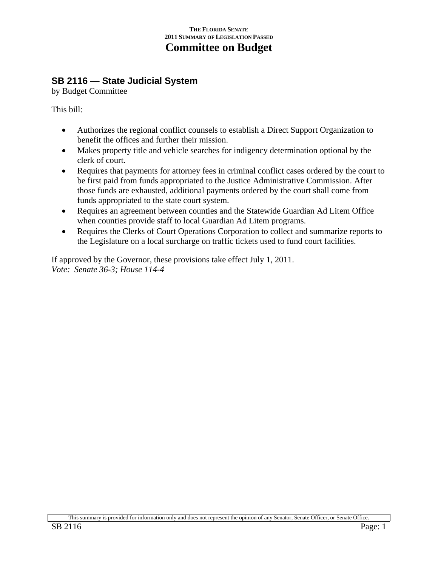# **SB 2116 — State Judicial System**

by Budget Committee

This bill:

- Authorizes the regional conflict counsels to establish a Direct Support Organization to benefit the offices and further their mission.
- Makes property title and vehicle searches for indigency determination optional by the clerk of court.
- Requires that payments for attorney fees in criminal conflict cases ordered by the court to be first paid from funds appropriated to the Justice Administrative Commission. After those funds are exhausted, additional payments ordered by the court shall come from funds appropriated to the state court system.
- Requires an agreement between counties and the Statewide Guardian Ad Litem Office when counties provide staff to local Guardian Ad Litem programs.
- Requires the Clerks of Court Operations Corporation to collect and summarize reports to the Legislature on a local surcharge on traffic tickets used to fund court facilities.

If approved by the Governor, these provisions take effect July 1, 2011. *Vote: Senate 36-3; House 114-4*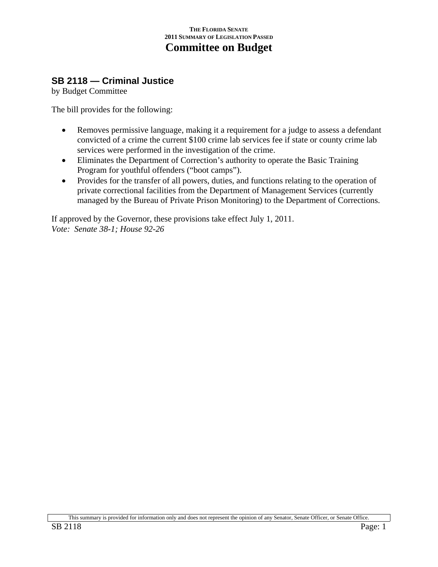## **SB 2118 — Criminal Justice**

by Budget Committee

The bill provides for the following:

- Removes permissive language, making it a requirement for a judge to assess a defendant convicted of a crime the current \$100 crime lab services fee if state or county crime lab services were performed in the investigation of the crime.
- Eliminates the Department of Correction's authority to operate the Basic Training Program for youthful offenders ("boot camps").
- Provides for the transfer of all powers, duties, and functions relating to the operation of private correctional facilities from the Department of Management Services (currently managed by the Bureau of Private Prison Monitoring) to the Department of Corrections.

If approved by the Governor, these provisions take effect July 1, 2011. *Vote: Senate 38-1; House 92-26*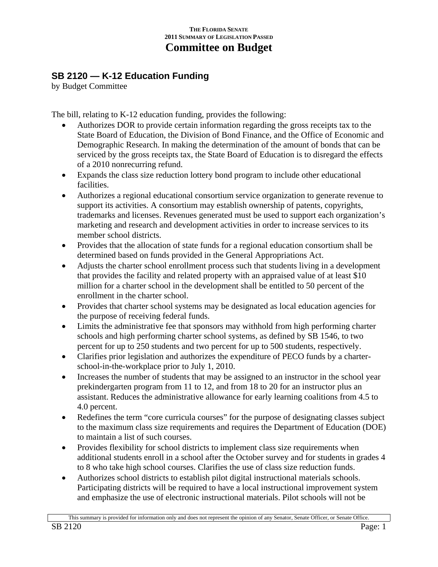# **SB 2120 — K-12 Education Funding**

by Budget Committee

The bill, relating to K-12 education funding, provides the following:

- Authorizes DOR to provide certain information regarding the gross receipts tax to the State Board of Education, the Division of Bond Finance, and the Office of Economic and Demographic Research. In making the determination of the amount of bonds that can be serviced by the gross receipts tax, the State Board of Education is to disregard the effects of a 2010 nonrecurring refund.
- Expands the class size reduction lottery bond program to include other educational facilities.
- Authorizes a regional educational consortium service organization to generate revenue to support its activities. A consortium may establish ownership of patents, copyrights, trademarks and licenses. Revenues generated must be used to support each organization's marketing and research and development activities in order to increase services to its member school districts.
- Provides that the allocation of state funds for a regional education consortium shall be determined based on funds provided in the General Appropriations Act.
- Adjusts the charter school enrollment process such that students living in a development that provides the facility and related property with an appraised value of at least \$10 million for a charter school in the development shall be entitled to 50 percent of the enrollment in the charter school.
- Provides that charter school systems may be designated as local education agencies for the purpose of receiving federal funds.
- Limits the administrative fee that sponsors may withhold from high performing charter schools and high performing charter school systems, as defined by SB 1546, to two percent for up to 250 students and two percent for up to 500 students, respectively.
- Clarifies prior legislation and authorizes the expenditure of PECO funds by a charterschool-in-the-workplace prior to July 1, 2010.
- Increases the number of students that may be assigned to an instructor in the school year prekindergarten program from 11 to 12, and from 18 to 20 for an instructor plus an assistant. Reduces the administrative allowance for early learning coalitions from 4.5 to 4.0 percent.
- Redefines the term "core curricula courses" for the purpose of designating classes subject to the maximum class size requirements and requires the Department of Education (DOE) to maintain a list of such courses.
- Provides flexibility for school districts to implement class size requirements when additional students enroll in a school after the October survey and for students in grades 4 to 8 who take high school courses. Clarifies the use of class size reduction funds.
- Authorizes school districts to establish pilot digital instructional materials schools. Participating districts will be required to have a local instructional improvement system and emphasize the use of electronic instructional materials. Pilot schools will not be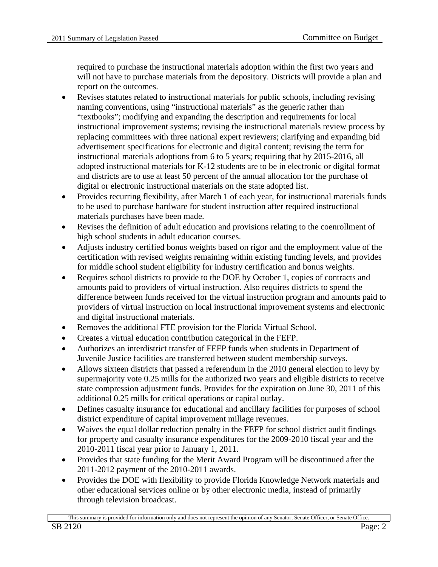required to purchase the instructional materials adoption within the first two years and will not have to purchase materials from the depository. Districts will provide a plan and report on the outcomes.

- Revises statutes related to instructional materials for public schools, including revising naming conventions, using "instructional materials" as the generic rather than "textbooks"; modifying and expanding the description and requirements for local instructional improvement systems; revising the instructional materials review process by replacing committees with three national expert reviewers; clarifying and expanding bid advertisement specifications for electronic and digital content; revising the term for instructional materials adoptions from 6 to 5 years; requiring that by 2015-2016, all adopted instructional materials for K-12 students are to be in electronic or digital format and districts are to use at least 50 percent of the annual allocation for the purchase of digital or electronic instructional materials on the state adopted list.
- Provides recurring flexibility, after March 1 of each year, for instructional materials funds to be used to purchase hardware for student instruction after required instructional materials purchases have been made.
- Revises the definition of adult education and provisions relating to the coenrollment of high school students in adult education courses.
- Adjusts industry certified bonus weights based on rigor and the employment value of the certification with revised weights remaining within existing funding levels, and provides for middle school student eligibility for industry certification and bonus weights.
- Requires school districts to provide to the DOE by October 1, copies of contracts and amounts paid to providers of virtual instruction. Also requires districts to spend the difference between funds received for the virtual instruction program and amounts paid to providers of virtual instruction on local instructional improvement systems and electronic and digital instructional materials.
- Removes the additional FTE provision for the Florida Virtual School.
- Creates a virtual education contribution categorical in the FEFP.
- Authorizes an interdistrict transfer of FEFP funds when students in Department of Juvenile Justice facilities are transferred between student membership surveys.
- Allows sixteen districts that passed a referendum in the 2010 general election to levy by supermajority vote 0.25 mills for the authorized two years and eligible districts to receive state compression adjustment funds. Provides for the expiration on June 30, 2011 of this additional 0.25 mills for critical operations or capital outlay.
- Defines casualty insurance for educational and ancillary facilities for purposes of school district expenditure of capital improvement millage revenues.
- Waives the equal dollar reduction penalty in the FEFP for school district audit findings for property and casualty insurance expenditures for the 2009-2010 fiscal year and the 2010-2011 fiscal year prior to January 1, 2011.
- Provides that state funding for the Merit Award Program will be discontinued after the 2011-2012 payment of the 2010-2011 awards.
- Provides the DOE with flexibility to provide Florida Knowledge Network materials and other educational services online or by other electronic media, instead of primarily through television broadcast.

This summary is provided for information only and does not represent the opinion of any Senator, Senate Officer, or Senate Office.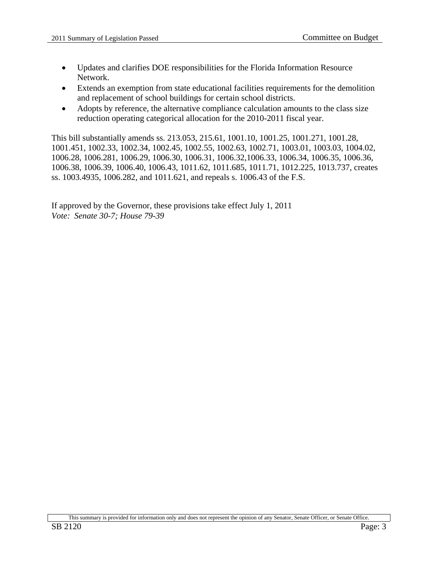- Updates and clarifies DOE responsibilities for the Florida Information Resource Network.
- Extends an exemption from state educational facilities requirements for the demolition and replacement of school buildings for certain school districts.
- Adopts by reference, the alternative compliance calculation amounts to the class size reduction operating categorical allocation for the 2010-2011 fiscal year.

This bill substantially amends ss. 213.053, 215.61, 1001.10, 1001.25, 1001.271, 1001.28, 1001.451, 1002.33, 1002.34, 1002.45, 1002.55, 1002.63, 1002.71, 1003.01, 1003.03, 1004.02, 1006.28, 1006.281, 1006.29, 1006.30, 1006.31, 1006.32,1006.33, 1006.34, 1006.35, 1006.36, 1006.38, 1006.39, 1006.40, 1006.43, 1011.62, 1011.685, 1011.71, 1012.225, 1013.737, creates ss. 1003.4935, 1006.282, and 1011.621, and repeals s. 1006.43 of the F.S.

If approved by the Governor, these provisions take effect July 1, 2011 *Vote: Senate 30-7; House 79-39*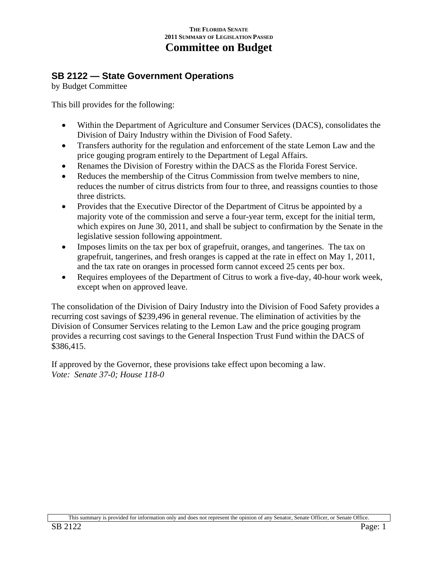## **SB 2122 — State Government Operations**

by Budget Committee

This bill provides for the following:

- Within the Department of Agriculture and Consumer Services (DACS), consolidates the Division of Dairy Industry within the Division of Food Safety.
- Transfers authority for the regulation and enforcement of the state Lemon Law and the price gouging program entirely to the Department of Legal Affairs.
- Renames the Division of Forestry within the DACS as the Florida Forest Service.
- Reduces the membership of the Citrus Commission from twelve members to nine, reduces the number of citrus districts from four to three, and reassigns counties to those three districts.
- Provides that the Executive Director of the Department of Citrus be appointed by a majority vote of the commission and serve a four-year term, except for the initial term, which expires on June 30, 2011, and shall be subject to confirmation by the Senate in the legislative session following appointment.
- Imposes limits on the tax per box of grapefruit, oranges, and tangerines. The tax on grapefruit, tangerines, and fresh oranges is capped at the rate in effect on May 1, 2011, and the tax rate on oranges in processed form cannot exceed 25 cents per box.
- Requires employees of the Department of Citrus to work a five-day, 40-hour work week, except when on approved leave.

The consolidation of the Division of Dairy Industry into the Division of Food Safety provides a recurring cost savings of \$239,496 in general revenue. The elimination of activities by the Division of Consumer Services relating to the Lemon Law and the price gouging program provides a recurring cost savings to the General Inspection Trust Fund within the DACS of \$386,415.

If approved by the Governor, these provisions take effect upon becoming a law. *Vote: Senate 37-0; House 118-0*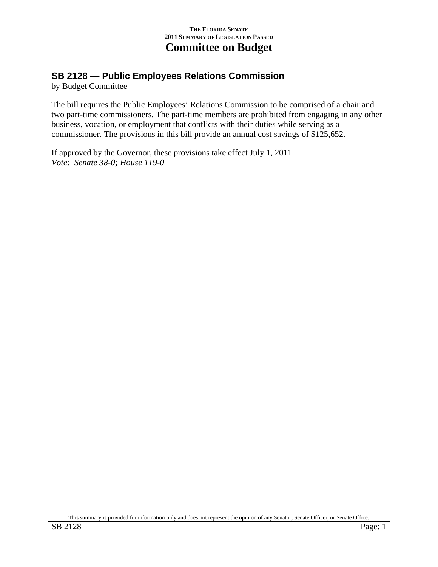## **SB 2128 — Public Employees Relations Commission**

by Budget Committee

The bill requires the Public Employees' Relations Commission to be comprised of a chair and two part-time commissioners. The part-time members are prohibited from engaging in any other business, vocation, or employment that conflicts with their duties while serving as a commissioner. The provisions in this bill provide an annual cost savings of \$125,652.

If approved by the Governor, these provisions take effect July 1, 2011. *Vote: Senate 38-0; House 119-0*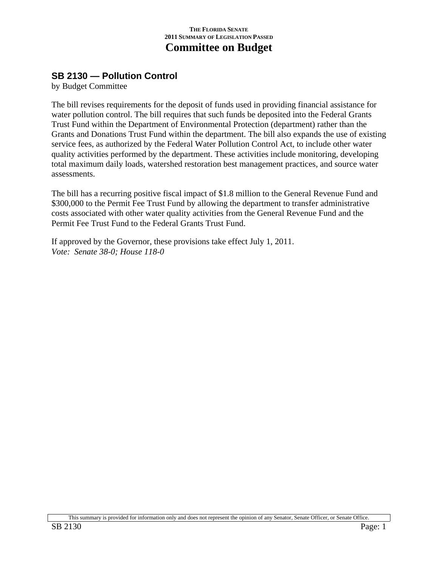# **SB 2130 — Pollution Control**

by Budget Committee

The bill revises requirements for the deposit of funds used in providing financial assistance for water pollution control. The bill requires that such funds be deposited into the Federal Grants Trust Fund within the Department of Environmental Protection (department) rather than the Grants and Donations Trust Fund within the department. The bill also expands the use of existing service fees, as authorized by the Federal Water Pollution Control Act, to include other water quality activities performed by the department. These activities include monitoring, developing total maximum daily loads, watershed restoration best management practices, and source water assessments.

The bill has a recurring positive fiscal impact of \$1.8 million to the General Revenue Fund and \$300,000 to the Permit Fee Trust Fund by allowing the department to transfer administrative costs associated with other water quality activities from the General Revenue Fund and the Permit Fee Trust Fund to the Federal Grants Trust Fund.

If approved by the Governor, these provisions take effect July 1, 2011. *Vote: Senate 38-0; House 118-0* 

This summary is provided for information only and does not represent the opinion of any Senator, Senate Officer, or Senate Office.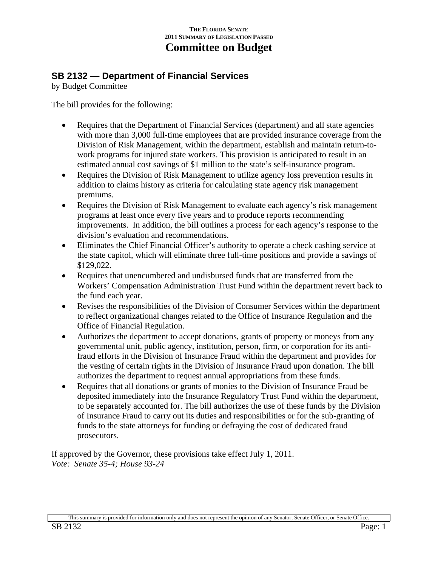# **SB 2132 — Department of Financial Services**

by Budget Committee

The bill provides for the following:

- Requires that the Department of Financial Services (department) and all state agencies with more than 3,000 full-time employees that are provided insurance coverage from the Division of Risk Management, within the department, establish and maintain return-towork programs for injured state workers. This provision is anticipated to result in an estimated annual cost savings of \$1 million to the state's self-insurance program.
- Requires the Division of Risk Management to utilize agency loss prevention results in addition to claims history as criteria for calculating state agency risk management premiums.
- Requires the Division of Risk Management to evaluate each agency's risk management programs at least once every five years and to produce reports recommending improvements. In addition, the bill outlines a process for each agency's response to the division's evaluation and recommendations.
- Eliminates the Chief Financial Officer's authority to operate a check cashing service at the state capitol, which will eliminate three full-time positions and provide a savings of \$129,022.
- Requires that unencumbered and undisbursed funds that are transferred from the Workers' Compensation Administration Trust Fund within the department revert back to the fund each year.
- Revises the responsibilities of the Division of Consumer Services within the department to reflect organizational changes related to the Office of Insurance Regulation and the Office of Financial Regulation.
- Authorizes the department to accept donations, grants of property or moneys from any governmental unit, public agency, institution, person, firm, or corporation for its antifraud efforts in the Division of Insurance Fraud within the department and provides for the vesting of certain rights in the Division of Insurance Fraud upon donation. The bill authorizes the department to request annual appropriations from these funds.
- Requires that all donations or grants of monies to the Division of Insurance Fraud be deposited immediately into the Insurance Regulatory Trust Fund within the department, to be separately accounted for. The bill authorizes the use of these funds by the Division of Insurance Fraud to carry out its duties and responsibilities or for the sub-granting of funds to the state attorneys for funding or defraying the cost of dedicated fraud prosecutors.

If approved by the Governor, these provisions take effect July 1, 2011. *Vote: Senate 35-4; House 93-24*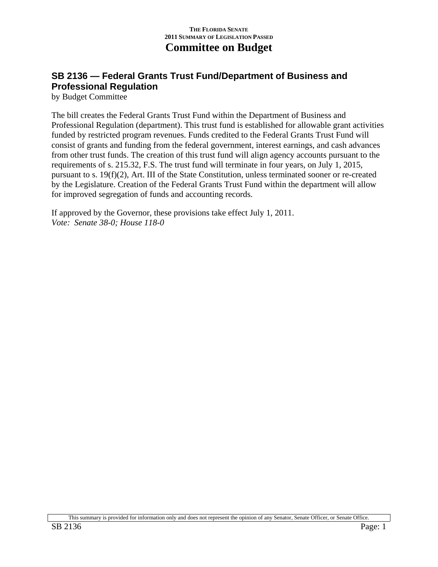# **SB 2136 — Federal Grants Trust Fund/Department of Business and Professional Regulation**

by Budget Committee

The bill creates the Federal Grants Trust Fund within the Department of Business and Professional Regulation (department). This trust fund is established for allowable grant activities funded by restricted program revenues. Funds credited to the Federal Grants Trust Fund will consist of grants and funding from the federal government, interest earnings, and cash advances from other trust funds. The creation of this trust fund will align agency accounts pursuant to the requirements of s. 215.32, F.S. The trust fund will terminate in four years, on July 1, 2015, pursuant to s. 19(f)(2), Art. III of the State Constitution, unless terminated sooner or re-created by the Legislature. Creation of the Federal Grants Trust Fund within the department will allow for improved segregation of funds and accounting records.

If approved by the Governor, these provisions take effect July 1, 2011. *Vote: Senate 38-0; House 118-0*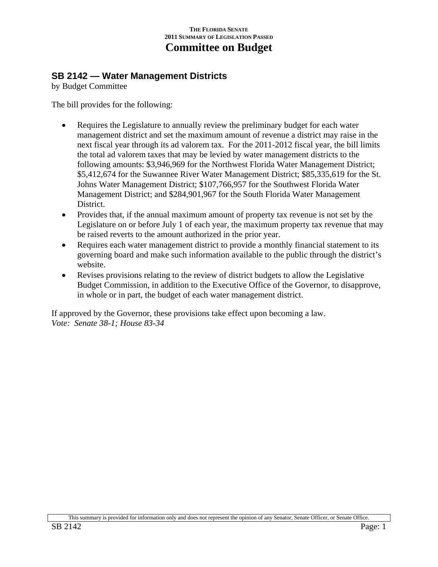## **SB 2142 — Water Management Districts**

by Budget Committee

The bill provides for the following:

- Requires the Legislature to annually review the preliminary budget for each water management district and set the maximum amount of revenue a district may raise in the next fiscal year through its ad valorem tax. For the 2011-2012 fiscal year, the bill limits the total ad valorem taxes that may be levied by water management districts to the following amounts: \$3,946,969 for the Northwest Florida Water Management District; \$5,412,674 for the Suwannee River Water Management District; \$85,335,619 for the St. Johns Water Management District; \$107,766,957 for the Southwest Florida Water Management District; and \$284,901,967 for the South Florida Water Management District.
- Provides that, if the annual maximum amount of property tax revenue is not set by the Legislature on or before July 1 of each year, the maximum property tax revenue that may be raised reverts to the amount authorized in the prior year.
- Requires each water management district to provide a monthly financial statement to its governing board and make such information available to the public through the district's website.
- Revises provisions relating to the review of district budgets to allow the Legislative Budget Commission, in addition to the Executive Office of the Governor, to disapprove, in whole or in part, the budget of each water management district.

If approved by the Governor, these provisions take effect upon becoming a law. *Vote: Senate 38-1; House 83-34*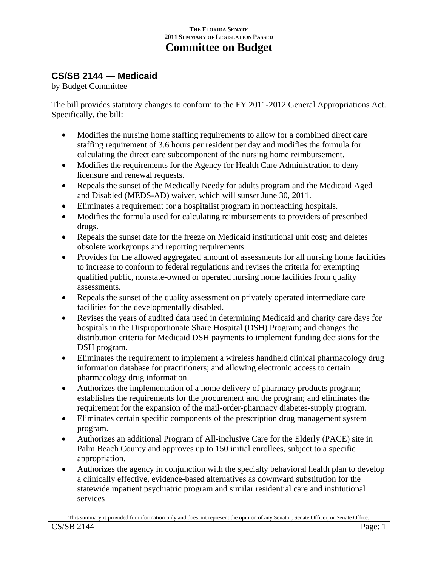# **CS/SB 2144 — Medicaid**

by Budget Committee

The bill provides statutory changes to conform to the FY 2011-2012 General Appropriations Act. Specifically, the bill:

- Modifies the nursing home staffing requirements to allow for a combined direct care staffing requirement of 3.6 hours per resident per day and modifies the formula for calculating the direct care subcomponent of the nursing home reimbursement.
- Modifies the requirements for the Agency for Health Care Administration to deny licensure and renewal requests.
- Repeals the sunset of the Medically Needy for adults program and the Medicaid Aged and Disabled (MEDS-AD) waiver, which will sunset June 30, 2011.
- Eliminates a requirement for a hospitalist program in nonteaching hospitals.
- Modifies the formula used for calculating reimbursements to providers of prescribed drugs.
- Repeals the sunset date for the freeze on Medicaid institutional unit cost; and deletes obsolete workgroups and reporting requirements.
- Provides for the allowed aggregated amount of assessments for all nursing home facilities to increase to conform to federal regulations and revises the criteria for exempting qualified public, nonstate-owned or operated nursing home facilities from quality assessments.
- Repeals the sunset of the quality assessment on privately operated intermediate care facilities for the developmentally disabled.
- Revises the years of audited data used in determining Medicaid and charity care days for hospitals in the Disproportionate Share Hospital (DSH) Program; and changes the distribution criteria for Medicaid DSH payments to implement funding decisions for the DSH program.
- Eliminates the requirement to implement a wireless handheld clinical pharmacology drug information database for practitioners; and allowing electronic access to certain pharmacology drug information.
- Authorizes the implementation of a home delivery of pharmacy products program; establishes the requirements for the procurement and the program; and eliminates the requirement for the expansion of the mail-order-pharmacy diabetes-supply program.
- Eliminates certain specific components of the prescription drug management system program.
- Authorizes an additional Program of All-inclusive Care for the Elderly (PACE) site in Palm Beach County and approves up to 150 initial enrollees, subject to a specific appropriation.
- Authorizes the agency in conjunction with the specialty behavioral health plan to develop a clinically effective, evidence-based alternatives as downward substitution for the statewide inpatient psychiatric program and similar residential care and institutional services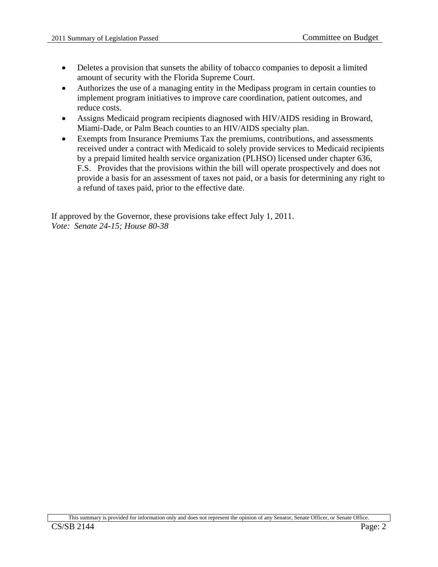- Deletes a provision that sunsets the ability of tobacco companies to deposit a limited amount of security with the Florida Supreme Court.
- Authorizes the use of a managing entity in the Medipass program in certain counties to implement program initiatives to improve care coordination, patient outcomes, and reduce costs.
- Assigns Medicaid program recipients diagnosed with HIV/AIDS residing in Broward, Miami-Dade, or Palm Beach counties to an HIV/AIDS specialty plan.
- Exempts from Insurance Premiums Tax the premiums, contributions, and assessments received under a contract with Medicaid to solely provide services to Medicaid recipients by a prepaid limited health service organization (PLHSO) licensed under chapter 636, F.S. Provides that the provisions within the bill will operate prospectively and does not provide a basis for an assessment of taxes not paid, or a basis for determining any right to a refund of taxes paid, prior to the effective date.

If approved by the Governor, these provisions take effect July 1, 2011. *Vote: Senate 24-15; House 80-38*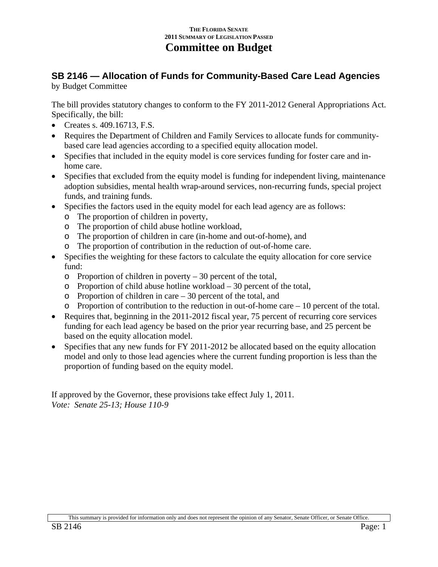### **SB 2146 — Allocation of Funds for Community-Based Care Lead Agencies**  by Budget Committee

The bill provides statutory changes to conform to the FY 2011-2012 General Appropriations Act. Specifically, the bill:

- Creates s. 409.16713, F.S.
- Requires the Department of Children and Family Services to allocate funds for communitybased care lead agencies according to a specified equity allocation model.
- Specifies that included in the equity model is core services funding for foster care and inhome care.
- Specifies that excluded from the equity model is funding for independent living, maintenance adoption subsidies, mental health wrap-around services, non-recurring funds, special project funds, and training funds.
- Specifies the factors used in the equity model for each lead agency are as follows:
	- o The proportion of children in poverty,
	- o The proportion of child abuse hotline workload,
	- o The proportion of children in care (in-home and out-of-home), and
	- o The proportion of contribution in the reduction of out-of-home care.
- Specifies the weighting for these factors to calculate the equity allocation for core service fund:
	- $\circ$  Proportion of children in poverty 30 percent of the total,
	- o Proportion of child abuse hotline workload 30 percent of the total,
	- o Proportion of children in care 30 percent of the total, and
	- o Proportion of contribution to the reduction in out-of-home care 10 percent of the total.
- Requires that, beginning in the 2011-2012 fiscal year, 75 percent of recurring core services funding for each lead agency be based on the prior year recurring base, and 25 percent be based on the equity allocation model.
- Specifies that any new funds for FY 2011-2012 be allocated based on the equity allocation model and only to those lead agencies where the current funding proportion is less than the proportion of funding based on the equity model.

If approved by the Governor, these provisions take effect July 1, 2011. *Vote: Senate 25-13; House 110-9*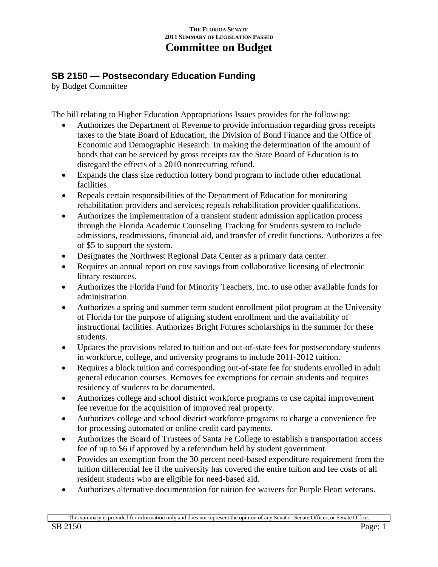# **SB 2150 — Postsecondary Education Funding**

by Budget Committee

The bill relating to Higher Education Appropriations Issues provides for the following:

- Authorizes the Department of Revenue to provide information regarding gross receipts taxes to the State Board of Education, the Division of Bond Finance and the Office of Economic and Demographic Research. In making the determination of the amount of bonds that can be serviced by gross receipts tax the State Board of Education is to disregard the effects of a 2010 nonrecurring refund.
- Expands the class size reduction lottery bond program to include other educational facilities.
- Repeals certain responsibilities of the Department of Education for monitoring rehabilitation providers and services; repeals rehabilitation provider qualifications.
- Authorizes the implementation of a transient student admission application process through the Florida Academic Counseling Tracking for Students system to include admissions, readmissions, financial aid, and transfer of credit functions. Authorizes a fee of \$5 to support the system.
- Designates the Northwest Regional Data Center as a primary data center.
- Requires an annual report on cost savings from collaborative licensing of electronic library resources.
- Authorizes the Florida Fund for Minority Teachers, Inc. to use other available funds for administration.
- Authorizes a spring and summer term student enrollment pilot program at the University of Florida for the purpose of aligning student enrollment and the availability of instructional facilities. Authorizes Bright Futures scholarships in the summer for these students.
- Updates the provisions related to tuition and out-of-state fees for postsecondary students in workforce, college, and university programs to include 2011-2012 tuition.
- Requires a block tuition and corresponding out-of-state fee for students enrolled in adult general education courses. Removes fee exemptions for certain students and requires residency of students to be documented.
- Authorizes college and school district workforce programs to use capital improvement fee revenue for the acquisition of improved real property.
- Authorizes college and school district workforce programs to charge a convenience fee for processing automated or online credit card payments.
- Authorizes the Board of Trustees of Santa Fe College to establish a transportation access fee of up to \$6 if approved by a referendum held by student government.
- Provides an exemption from the 30 percent need-based expenditure requirement from the tuition differential fee if the university has covered the entire tuition and fee costs of all resident students who are eligible for need-based aid.
- Authorizes alternative documentation for tuition fee waivers for Purple Heart veterans.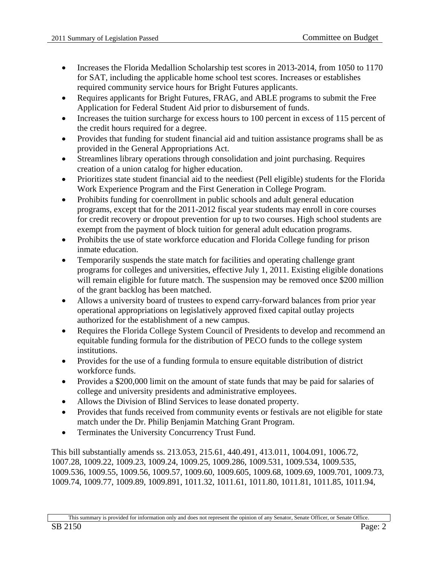- Increases the Florida Medallion Scholarship test scores in 2013-2014, from 1050 to 1170 for SAT, including the applicable home school test scores. Increases or establishes required community service hours for Bright Futures applicants.
- Requires applicants for Bright Futures, FRAG, and ABLE programs to submit the Free Application for Federal Student Aid prior to disbursement of funds.
- Increases the tuition surcharge for excess hours to 100 percent in excess of 115 percent of the credit hours required for a degree.
- Provides that funding for student financial aid and tuition assistance programs shall be as provided in the General Appropriations Act.
- Streamlines library operations through consolidation and joint purchasing. Requires creation of a union catalog for higher education.
- Prioritizes state student financial aid to the neediest (Pell eligible) students for the Florida Work Experience Program and the First Generation in College Program.
- Prohibits funding for coenrollment in public schools and adult general education programs, except that for the 2011-2012 fiscal year students may enroll in core courses for credit recovery or dropout prevention for up to two courses. High school students are exempt from the payment of block tuition for general adult education programs.
- Prohibits the use of state workforce education and Florida College funding for prison inmate education.
- Temporarily suspends the state match for facilities and operating challenge grant programs for colleges and universities, effective July 1, 2011. Existing eligible donations will remain eligible for future match. The suspension may be removed once \$200 million of the grant backlog has been matched.
- Allows a university board of trustees to expend carry-forward balances from prior year operational appropriations on legislatively approved fixed capital outlay projects authorized for the establishment of a new campus.
- Requires the Florida College System Council of Presidents to develop and recommend an equitable funding formula for the distribution of PECO funds to the college system institutions.
- Provides for the use of a funding formula to ensure equitable distribution of district workforce funds.
- Provides a \$200,000 limit on the amount of state funds that may be paid for salaries of college and university presidents and administrative employees.
- Allows the Division of Blind Services to lease donated property.
- Provides that funds received from community events or festivals are not eligible for state match under the Dr. Philip Benjamin Matching Grant Program.
- Terminates the University Concurrency Trust Fund.

This bill substantially amends ss. 213.053, 215.61, 440.491, 413.011, 1004.091, 1006.72, 1007.28, 1009.22, 1009.23, 1009.24, 1009.25, 1009.286, 1009.531, 1009.534, 1009.535, 1009.536, 1009.55, 1009.56, 1009.57, 1009.60, 1009.605, 1009.68, 1009.69, 1009.701, 1009.73, 1009.74, 1009.77, 1009.89, 1009.891, 1011.32, 1011.61, 1011.80, 1011.81, 1011.85, 1011.94,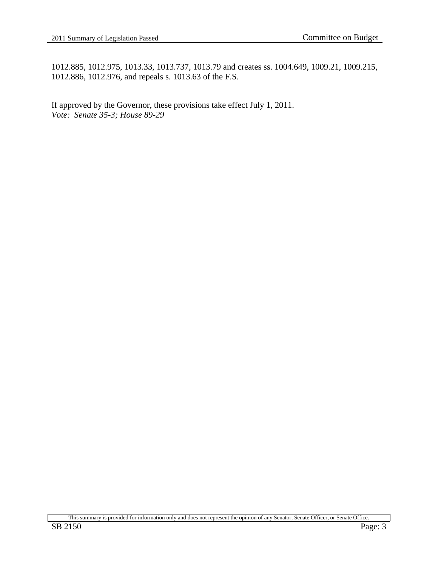1012.885, 1012.975, 1013.33, 1013.737, 1013.79 and creates ss. 1004.649, 1009.21, 1009.215, 1012.886, 1012.976, and repeals s. 1013.63 of the F.S.

If approved by the Governor, these provisions take effect July 1, 2011. *Vote: Senate 35-3; House 89-29*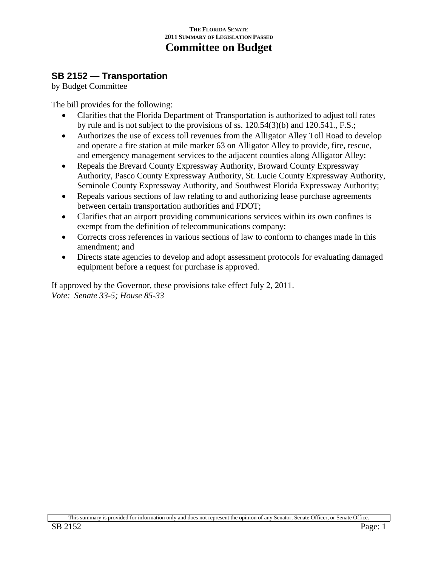### **SB 2152 — Transportation**

by Budget Committee

The bill provides for the following:

- Clarifies that the Florida Department of Transportation is authorized to adjust toll rates by rule and is not subject to the provisions of ss. 120.54(3)(b) and 120.541., F.S.;
- Authorizes the use of excess toll revenues from the Alligator Alley Toll Road to develop and operate a fire station at mile marker 63 on Alligator Alley to provide, fire, rescue, and emergency management services to the adjacent counties along Alligator Alley;
- Repeals the Brevard County Expressway Authority, Broward County Expressway Authority, Pasco County Expressway Authority, St. Lucie County Expressway Authority, Seminole County Expressway Authority, and Southwest Florida Expressway Authority;
- Repeals various sections of law relating to and authorizing lease purchase agreements between certain transportation authorities and FDOT;
- Clarifies that an airport providing communications services within its own confines is exempt from the definition of telecommunications company;
- Corrects cross references in various sections of law to conform to changes made in this amendment; and
- Directs state agencies to develop and adopt assessment protocols for evaluating damaged equipment before a request for purchase is approved.

If approved by the Governor, these provisions take effect July 2, 2011. *Vote: Senate 33-5; House 85-33*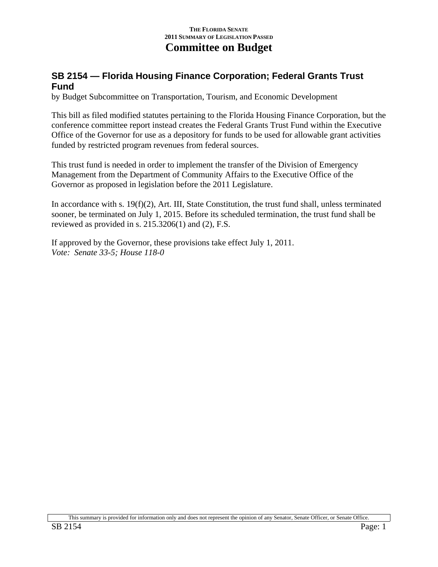## **SB 2154 — Florida Housing Finance Corporation; Federal Grants Trust Fund**

by Budget Subcommittee on Transportation, Tourism, and Economic Development

This bill as filed modified statutes pertaining to the Florida Housing Finance Corporation, but the conference committee report instead creates the Federal Grants Trust Fund within the Executive Office of the Governor for use as a depository for funds to be used for allowable grant activities funded by restricted program revenues from federal sources.

This trust fund is needed in order to implement the transfer of the Division of Emergency Management from the Department of Community Affairs to the Executive Office of the Governor as proposed in legislation before the 2011 Legislature.

In accordance with s. 19(f)(2), Art. III, State Constitution, the trust fund shall, unless terminated sooner, be terminated on July 1, 2015. Before its scheduled termination, the trust fund shall be reviewed as provided in s. 215.3206(1) and (2), F.S.

If approved by the Governor, these provisions take effect July 1, 2011. *Vote: Senate 33-5; House 118-0*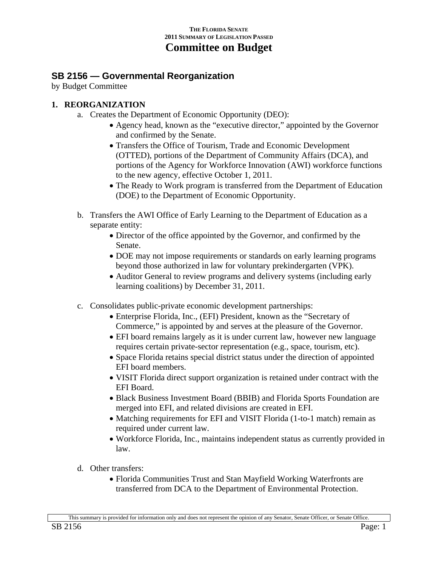### **SB 2156 — Governmental Reorganization**

by Budget Committee

### **1. REORGANIZATION**

- a. Creates the Department of Economic Opportunity (DEO):
	- Agency head, known as the "executive director," appointed by the Governor and confirmed by the Senate.
	- Transfers the Office of Tourism, Trade and Economic Development (OTTED), portions of the Department of Community Affairs (DCA), and portions of the Agency for Workforce Innovation (AWI) workforce functions to the new agency, effective October 1, 2011.
	- The Ready to Work program is transferred from the Department of Education (DOE) to the Department of Economic Opportunity.
- b. Transfers the AWI Office of Early Learning to the Department of Education as a separate entity:
	- Director of the office appointed by the Governor, and confirmed by the Senate.
	- DOE may not impose requirements or standards on early learning programs beyond those authorized in law for voluntary prekindergarten (VPK).
	- Auditor General to review programs and delivery systems (including early learning coalitions) by December 31, 2011.
- c. Consolidates public-private economic development partnerships:
	- Enterprise Florida, Inc., (EFI) President, known as the "Secretary of Commerce," is appointed by and serves at the pleasure of the Governor.
	- EFI board remains largely as it is under current law, however new language requires certain private-sector representation (e.g., space, tourism, etc).
	- Space Florida retains special district status under the direction of appointed EFI board members.
	- VISIT Florida direct support organization is retained under contract with the EFI Board.
	- Black Business Investment Board (BBIB) and Florida Sports Foundation are merged into EFI, and related divisions are created in EFI.
	- Matching requirements for EFI and VISIT Florida (1-to-1 match) remain as required under current law.
	- Workforce Florida, Inc., maintains independent status as currently provided in law.
- d. Other transfers:
	- Florida Communities Trust and Stan Mayfield Working Waterfronts are transferred from DCA to the Department of Environmental Protection.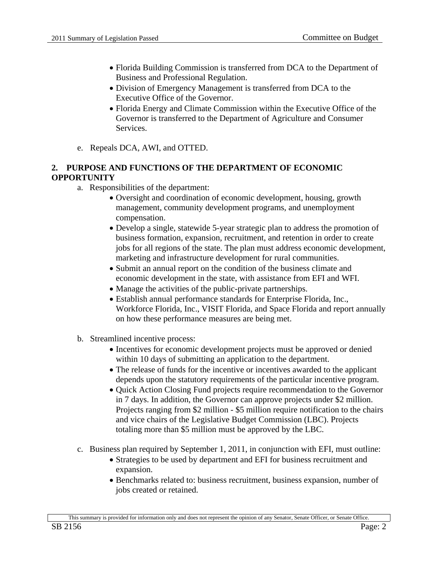- Florida Building Commission is transferred from DCA to the Department of Business and Professional Regulation.
- Division of Emergency Management is transferred from DCA to the Executive Office of the Governor.
- Florida Energy and Climate Commission within the Executive Office of the Governor is transferred to the Department of Agriculture and Consumer Services.
- e. Repeals DCA, AWI, and OTTED.

### **2. PURPOSE AND FUNCTIONS OF THE DEPARTMENT OF ECONOMIC OPPORTUNITY**

- a. Responsibilities of the department:
	- Oversight and coordination of economic development, housing, growth management, community development programs, and unemployment compensation.
	- Develop a single, statewide 5-year strategic plan to address the promotion of business formation, expansion, recruitment, and retention in order to create jobs for all regions of the state. The plan must address economic development, marketing and infrastructure development for rural communities.
	- Submit an annual report on the condition of the business climate and economic development in the state, with assistance from EFI and WFI.
	- Manage the activities of the public-private partnerships.
	- Establish annual performance standards for Enterprise Florida, Inc., Workforce Florida, Inc., VISIT Florida, and Space Florida and report annually on how these performance measures are being met.
- b. Streamlined incentive process:
	- Incentives for economic development projects must be approved or denied within 10 days of submitting an application to the department.
	- The release of funds for the incentive or incentives awarded to the applicant depends upon the statutory requirements of the particular incentive program.
	- Quick Action Closing Fund projects require recommendation to the Governor in 7 days. In addition, the Governor can approve projects under \$2 million. Projects ranging from \$2 million - \$5 million require notification to the chairs and vice chairs of the Legislative Budget Commission (LBC). Projects totaling more than \$5 million must be approved by the LBC.
- c. Business plan required by September 1, 2011, in conjunction with EFI, must outline:
	- Strategies to be used by department and EFI for business recruitment and expansion.
	- Benchmarks related to: business recruitment, business expansion, number of jobs created or retained.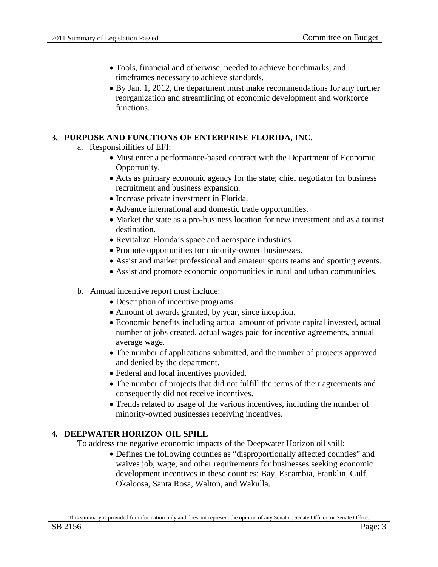- Tools, financial and otherwise, needed to achieve benchmarks, and timeframes necessary to achieve standards.
- By Jan. 1, 2012, the department must make recommendations for any further reorganization and streamlining of economic development and workforce functions.

### **3. PURPOSE AND FUNCTIONS OF ENTERPRISE FLORIDA, INC.**

- a. Responsibilities of EFI:
	- Must enter a performance-based contract with the Department of Economic Opportunity.
	- Acts as primary economic agency for the state; chief negotiator for business recruitment and business expansion.
	- Increase private investment in Florida.
	- Advance international and domestic trade opportunities.
	- Market the state as a pro-business location for new investment and as a tourist destination.
	- Revitalize Florida's space and aerospace industries.
	- Promote opportunities for minority-owned businesses.
	- Assist and market professional and amateur sports teams and sporting events.
	- Assist and promote economic opportunities in rural and urban communities.
- b. Annual incentive report must include:
	- Description of incentive programs.
	- Amount of awards granted, by year, since inception.
	- Economic benefits including actual amount of private capital invested, actual number of jobs created, actual wages paid for incentive agreements, annual average wage.
	- The number of applications submitted, and the number of projects approved and denied by the department.
	- Federal and local incentives provided.
	- The number of projects that did not fulfill the terms of their agreements and consequently did not receive incentives.
	- Trends related to usage of the various incentives, including the number of minority-owned businesses receiving incentives.

### **4. DEEPWATER HORIZON OIL SPILL**

To address the negative economic impacts of the Deepwater Horizon oil spill:

• Defines the following counties as "disproportionally affected counties" and waives job, wage, and other requirements for businesses seeking economic development incentives in these counties: Bay, Escambia, Franklin, Gulf, Okaloosa, Santa Rosa, Walton, and Wakulla.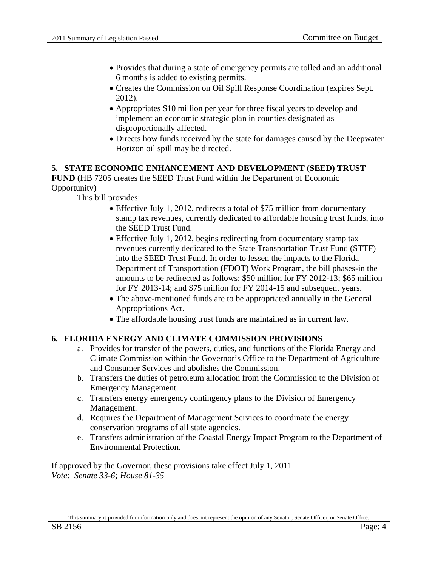- Provides that during a state of emergency permits are tolled and an additional 6 months is added to existing permits.
- Creates the Commission on Oil Spill Response Coordination (expires Sept. 2012).
- Appropriates \$10 million per year for three fiscal years to develop and implement an economic strategic plan in counties designated as disproportionally affected.
- Directs how funds received by the state for damages caused by the Deepwater Horizon oil spill may be directed.

### **5. STATE ECONOMIC ENHANCEMENT AND DEVELOPMENT (SEED) TRUST**

**FUND (**HB 7205 creates the SEED Trust Fund within the Department of Economic Opportunity)

This bill provides:

- Effective July 1, 2012, redirects a total of \$75 million from documentary stamp tax revenues, currently dedicated to affordable housing trust funds, into the SEED Trust Fund.
- Effective July 1, 2012, begins redirecting from documentary stamp tax revenues currently dedicated to the State Transportation Trust Fund (STTF) into the SEED Trust Fund. In order to lessen the impacts to the Florida Department of Transportation (FDOT) Work Program, the bill phases-in the amounts to be redirected as follows: \$50 million for FY 2012-13; \$65 million for FY 2013-14; and \$75 million for FY 2014-15 and subsequent years.
- The above-mentioned funds are to be appropriated annually in the General Appropriations Act.
- The affordable housing trust funds are maintained as in current law.

### **6. FLORIDA ENERGY AND CLIMATE COMMISSION PROVISIONS**

- a. Provides for transfer of the powers, duties, and functions of the Florida Energy and Climate Commission within the Governor's Office to the Department of Agriculture and Consumer Services and abolishes the Commission.
- b. Transfers the duties of petroleum allocation from the Commission to the Division of Emergency Management.
- c. Transfers energy emergency contingency plans to the Division of Emergency Management.
- d. Requires the Department of Management Services to coordinate the energy conservation programs of all state agencies.
- e. Transfers administration of the Coastal Energy Impact Program to the Department of Environmental Protection.

If approved by the Governor, these provisions take effect July 1, 2011. *Vote: Senate 33-6; House 81-35*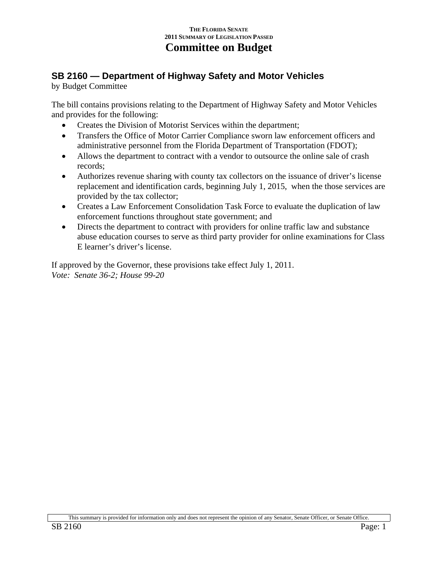# **SB 2160 — Department of Highway Safety and Motor Vehicles**

by Budget Committee

The bill contains provisions relating to the Department of Highway Safety and Motor Vehicles and provides for the following:

- Creates the Division of Motorist Services within the department;
- Transfers the Office of Motor Carrier Compliance sworn law enforcement officers and administrative personnel from the Florida Department of Transportation (FDOT);
- Allows the department to contract with a vendor to outsource the online sale of crash records;
- Authorizes revenue sharing with county tax collectors on the issuance of driver's license replacement and identification cards, beginning July 1, 2015, when the those services are provided by the tax collector;
- Creates a Law Enforcement Consolidation Task Force to evaluate the duplication of law enforcement functions throughout state government; and
- Directs the department to contract with providers for online traffic law and substance abuse education courses to serve as third party provider for online examinations for Class E learner's driver's license.

If approved by the Governor, these provisions take effect July 1, 2011. *Vote: Senate 36-2; House 99-20*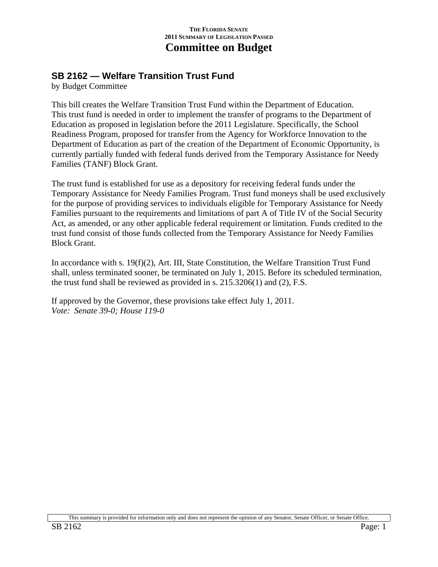## **SB 2162 — Welfare Transition Trust Fund**

by Budget Committee

This bill creates the Welfare Transition Trust Fund within the Department of Education. This trust fund is needed in order to implement the transfer of programs to the Department of Education as proposed in legislation before the 2011 Legislature. Specifically, the School Readiness Program, proposed for transfer from the Agency for Workforce Innovation to the Department of Education as part of the creation of the Department of Economic Opportunity, is currently partially funded with federal funds derived from the Temporary Assistance for Needy Families (TANF) Block Grant.

The trust fund is established for use as a depository for receiving federal funds under the Temporary Assistance for Needy Families Program. Trust fund moneys shall be used exclusively for the purpose of providing services to individuals eligible for Temporary Assistance for Needy Families pursuant to the requirements and limitations of part A of Title IV of the Social Security Act, as amended, or any other applicable federal requirement or limitation. Funds credited to the trust fund consist of those funds collected from the Temporary Assistance for Needy Families Block Grant.

In accordance with s. 19(f)(2), Art. III, State Constitution, the Welfare Transition Trust Fund shall, unless terminated sooner, be terminated on July 1, 2015. Before its scheduled termination, the trust fund shall be reviewed as provided in s. 215.3206(1) and (2), F.S.

If approved by the Governor, these provisions take effect July 1, 2011. *Vote: Senate 39-0; House 119-0*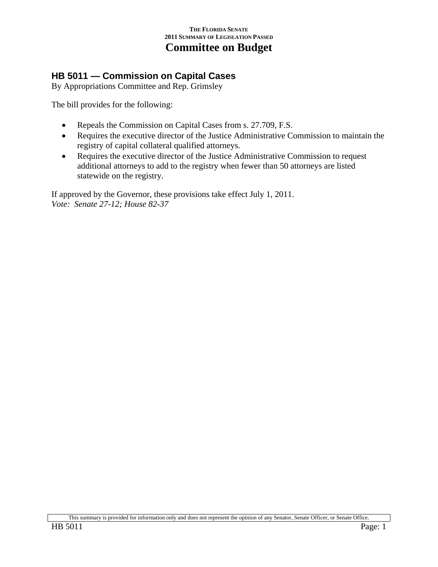## **HB 5011 — Commission on Capital Cases**

By Appropriations Committee and Rep. Grimsley

The bill provides for the following:

- Repeals the Commission on Capital Cases from s. 27.709, F.S.
- Requires the executive director of the Justice Administrative Commission to maintain the registry of capital collateral qualified attorneys.
- Requires the executive director of the Justice Administrative Commission to request additional attorneys to add to the registry when fewer than 50 attorneys are listed statewide on the registry.

If approved by the Governor, these provisions take effect July 1, 2011. *Vote: Senate 27-12; House 82-37* 

This summary is provided for information only and does not represent the opinion of any Senator, Senate Officer, or Senate Office.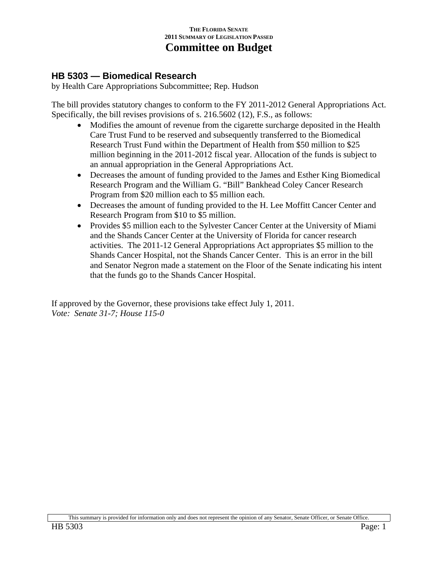## **HB 5303 — Biomedical Research**

by Health Care Appropriations Subcommittee; Rep. Hudson

The bill provides statutory changes to conform to the FY 2011-2012 General Appropriations Act. Specifically, the bill revises provisions of s. 216.5602 (12), F.S., as follows:

- Modifies the amount of revenue from the cigarette surcharge deposited in the Health Care Trust Fund to be reserved and subsequently transferred to the Biomedical Research Trust Fund within the Department of Health from \$50 million to \$25 million beginning in the 2011-2012 fiscal year. Allocation of the funds is subject to an annual appropriation in the General Appropriations Act.
- Decreases the amount of funding provided to the James and Esther King Biomedical Research Program and the William G. "Bill" Bankhead Coley Cancer Research Program from \$20 million each to \$5 million each.
- Decreases the amount of funding provided to the H. Lee Moffitt Cancer Center and Research Program from \$10 to \$5 million.
- Provides \$5 million each to the Sylvester Cancer Center at the University of Miami and the Shands Cancer Center at the University of Florida for cancer research activities. The 2011-12 General Appropriations Act appropriates \$5 million to the Shands Cancer Hospital, not the Shands Cancer Center. This is an error in the bill and Senator Negron made a statement on the Floor of the Senate indicating his intent that the funds go to the Shands Cancer Hospital.

If approved by the Governor, these provisions take effect July 1, 2011. *Vote: Senate 31-7; House 115-0*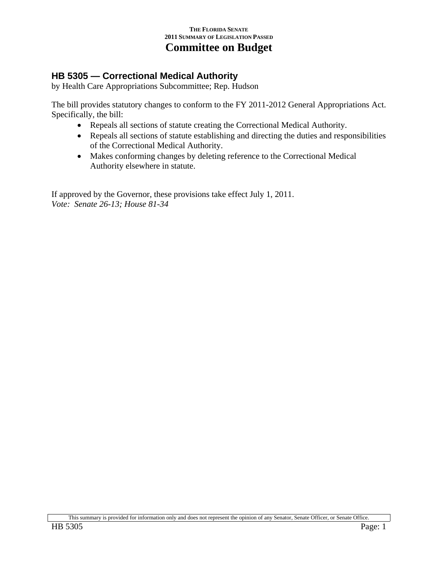# **HB 5305 — Correctional Medical Authority**

by Health Care Appropriations Subcommittee; Rep. Hudson

The bill provides statutory changes to conform to the FY 2011-2012 General Appropriations Act. Specifically, the bill:

- Repeals all sections of statute creating the Correctional Medical Authority.
- Repeals all sections of statute establishing and directing the duties and responsibilities of the Correctional Medical Authority.
- Makes conforming changes by deleting reference to the Correctional Medical Authority elsewhere in statute.

If approved by the Governor, these provisions take effect July 1, 2011. *Vote: Senate 26-13; House 81-34*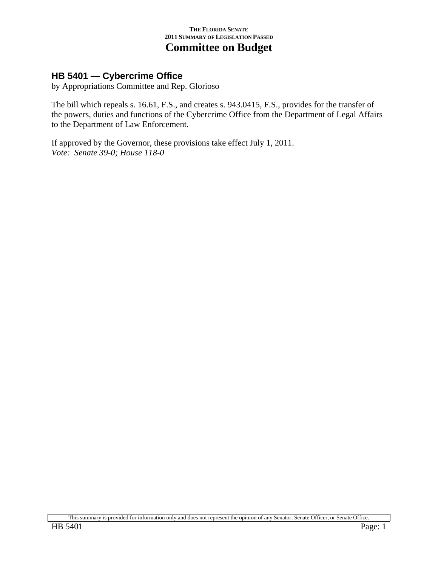## **HB 5401 — Cybercrime Office**

by Appropriations Committee and Rep. Glorioso

The bill which repeals s. 16.61, F.S., and creates s. 943.0415, F.S., provides for the transfer of the powers, duties and functions of the Cybercrime Office from the Department of Legal Affairs to the Department of Law Enforcement.

If approved by the Governor, these provisions take effect July 1, 2011. *Vote: Senate 39-0; House 118-0*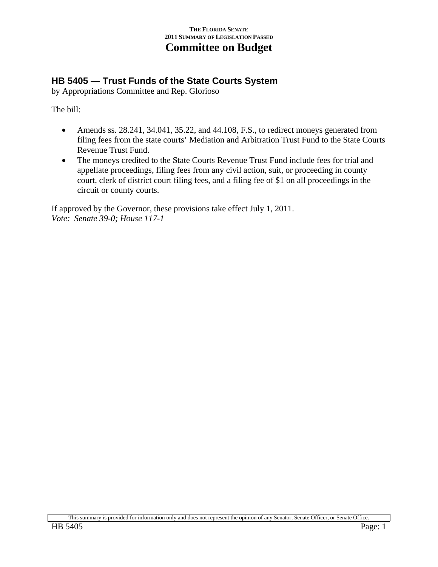# **HB 5405 — Trust Funds of the State Courts System**

by Appropriations Committee and Rep. Glorioso

The bill:

- Amends ss. 28.241, 34.041, 35.22, and 44.108, F.S., to redirect moneys generated from filing fees from the state courts' Mediation and Arbitration Trust Fund to the State Courts Revenue Trust Fund.
- The moneys credited to the State Courts Revenue Trust Fund include fees for trial and appellate proceedings, filing fees from any civil action, suit, or proceeding in county court, clerk of district court filing fees, and a filing fee of \$1 on all proceedings in the circuit or county courts.

If approved by the Governor, these provisions take effect July 1, 2011. *Vote: Senate 39-0; House 117-1*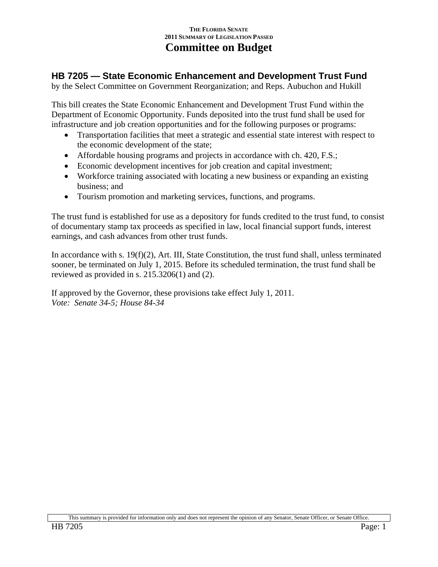# **HB 7205 — State Economic Enhancement and Development Trust Fund**

by the Select Committee on Government Reorganization; and Reps. Aubuchon and Hukill

This bill creates the State Economic Enhancement and Development Trust Fund within the Department of Economic Opportunity. Funds deposited into the trust fund shall be used for infrastructure and job creation opportunities and for the following purposes or programs:

- Transportation facilities that meet a strategic and essential state interest with respect to the economic development of the state;
- Affordable housing programs and projects in accordance with ch. 420, F.S.;
- Economic development incentives for job creation and capital investment;
- Workforce training associated with locating a new business or expanding an existing business; and
- Tourism promotion and marketing services, functions, and programs.

The trust fund is established for use as a depository for funds credited to the trust fund, to consist of documentary stamp tax proceeds as specified in law, local financial support funds, interest earnings, and cash advances from other trust funds.

In accordance with s. 19(f)(2), Art. III, State Constitution, the trust fund shall, unless terminated sooner, be terminated on July 1, 2015. Before its scheduled termination, the trust fund shall be reviewed as provided in s. 215.3206(1) and (2).

If approved by the Governor, these provisions take effect July 1, 2011. *Vote: Senate 34-5; House 84-34*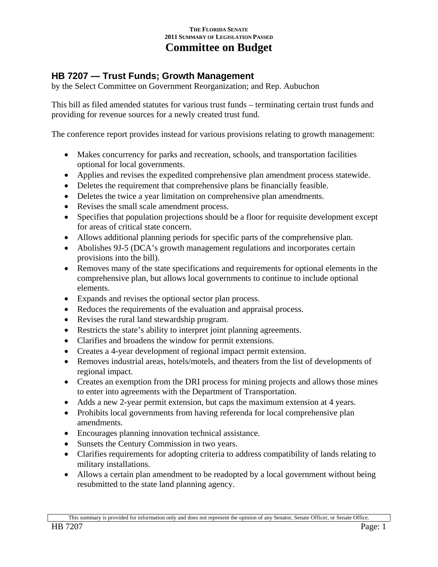# **HB 7207 — Trust Funds; Growth Management**

by the Select Committee on Government Reorganization; and Rep. Aubuchon

This bill as filed amended statutes for various trust funds – terminating certain trust funds and providing for revenue sources for a newly created trust fund.

The conference report provides instead for various provisions relating to growth management:

- Makes concurrency for parks and recreation, schools, and transportation facilities optional for local governments.
- Applies and revises the expedited comprehensive plan amendment process statewide.
- Deletes the requirement that comprehensive plans be financially feasible.
- Deletes the twice a year limitation on comprehensive plan amendments.
- Revises the small scale amendment process.
- Specifies that population projections should be a floor for requisite development except for areas of critical state concern.
- Allows additional planning periods for specific parts of the comprehensive plan.
- Abolishes 9J-5 (DCA's growth management regulations and incorporates certain provisions into the bill).
- Removes many of the state specifications and requirements for optional elements in the comprehensive plan, but allows local governments to continue to include optional elements.
- Expands and revises the optional sector plan process.
- Reduces the requirements of the evaluation and appraisal process.
- Revises the rural land stewardship program.
- Restricts the state's ability to interpret joint planning agreements.
- Clarifies and broadens the window for permit extensions.
- Creates a 4-year development of regional impact permit extension.
- Removes industrial areas, hotels/motels, and theaters from the list of developments of regional impact.
- Creates an exemption from the DRI process for mining projects and allows those mines to enter into agreements with the Department of Transportation.
- Adds a new 2-year permit extension, but caps the maximum extension at 4 years.
- Prohibits local governments from having referenda for local comprehensive plan amendments.
- Encourages planning innovation technical assistance.
- Sunsets the Century Commission in two years.
- Clarifies requirements for adopting criteria to address compatibility of lands relating to military installations.
- Allows a certain plan amendment to be readopted by a local government without being resubmitted to the state land planning agency.